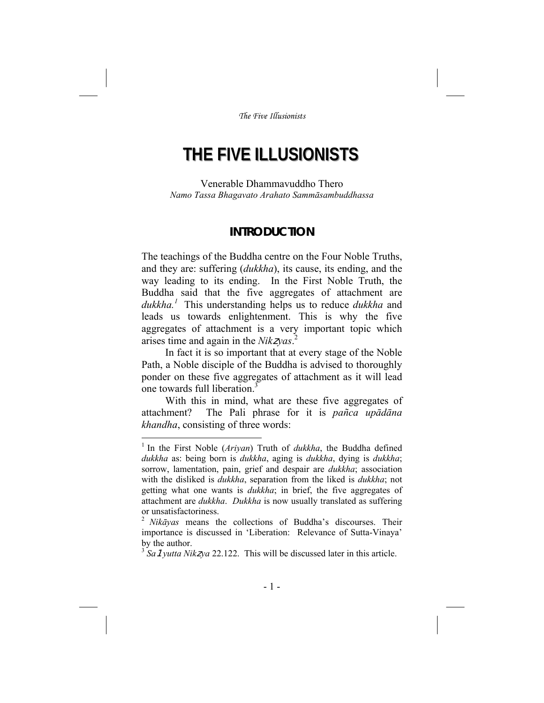# **THE FIVE ILLUSIONISTS**

Venerable Dhammavuddho Thero *Namo Tassa Bhagavato Arahato Sammāsambuddhassa* 

## **INTRODUCTION**

The teachings of the Buddha centre on the Four Noble Truths, and they are: suffering (*dukkha*), its cause, its ending, and the way leading to its ending. In the First Noble Truth, the Buddha said that the five aggregates of attachment are *dukkha.<sup>1</sup>* This understanding helps us to reduce *dukkha* and leads us towards enlightenment. This is why the five aggregates of attachment is a very important topic which arises time and again in the *Nik*z*yas*. 2

In fact it is so important that at every stage of the Noble Path, a Noble disciple of the Buddha is advised to thoroughly ponder on these five aggregates of attachment as it will lead one towards full liberation.<sup>3</sup>

With this in mind, what are these five aggregates of attachment? The Pali phrase for it is *pañca upādāna khandha*, consisting of three words:

<sup>&</sup>lt;sup>1</sup> In the First Noble (Ariyan) Truth of *dukkha*, the Buddha defined *dukkha* as: being born is *dukkha*, aging is *dukkha*, dying is *dukkha*; sorrow, lamentation, pain, grief and despair are *dukkha*; association with the disliked is *dukkha*, separation from the liked is *dukkha*; not getting what one wants is *dukkha*; in brief, the five aggregates of attachment are *dukkha*. *Dukkha* is now usually translated as suffering or unsatisfactoriness.

<sup>2</sup> *Nikāyas* means the collections of Buddha's discourses. Their importance is discussed in 'Liberation: Relevance of Sutta-Vinaya' by the author.

<sup>3</sup> *Sa*1*yutta Nik*z*ya* 22.122. This will be discussed later in this article.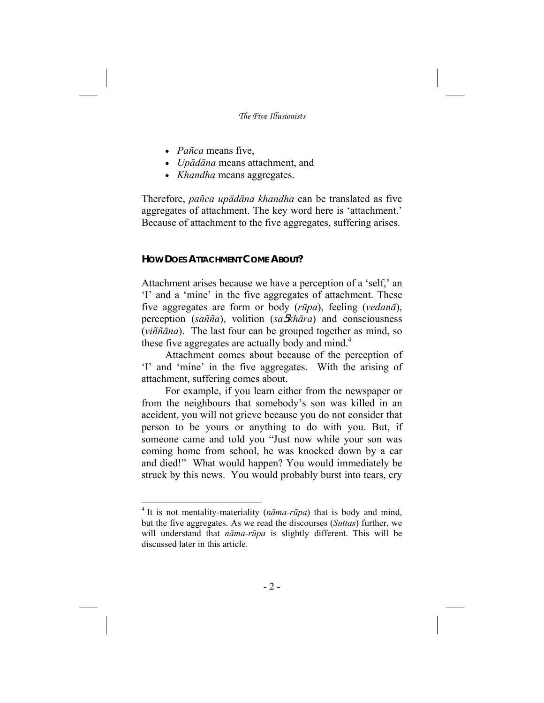- *Pañca* means five,
- *Upādāna* means attachment, and
- *Khandha* means aggregates.

Therefore, *pañca upādāna khandha* can be translated as five aggregates of attachment. The key word here is 'attachment.' Because of attachment to the five aggregates, suffering arises.

## **HOW DOES ATTACHMENT COME ABOUT?**

-

Attachment arises because we have a perception of a 'self,' an 'I' and a 'mine' in the five aggregates of attachment. These five aggregates are form or body (*rūpa*), feeling (*vedanā*), perception (*sañña*), volition (*sa*5*khāra*) and consciousness (*viññāna*). The last four can be grouped together as mind, so these five aggregates are actually body and mind.<sup>4</sup>

Attachment comes about because of the perception of 'I' and 'mine' in the five aggregates. With the arising of attachment, suffering comes about.

For example, if you learn either from the newspaper or from the neighbours that somebody's son was killed in an accident, you will not grieve because you do not consider that person to be yours or anything to do with you. But, if someone came and told you "Just now while your son was coming home from school, he was knocked down by a car and died!" What would happen? You would immediately be struck by this news. You would probably burst into tears, cry

<sup>4</sup> It is not mentality-materiality (*nāma-rūpa*) that is body and mind, but the five aggregates. As we read the discourses (*Suttas*) further, we will understand that *nāma-rūpa* is slightly different. This will be discussed later in this article.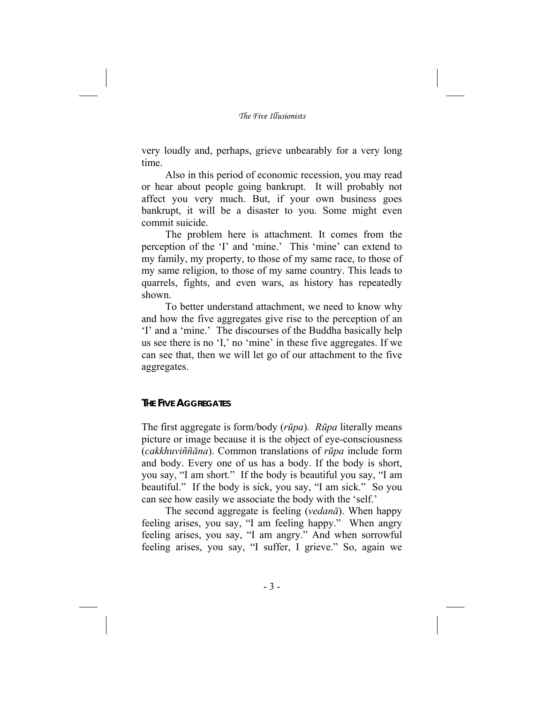very loudly and, perhaps, grieve unbearably for a very long time.

Also in this period of economic recession, you may read or hear about people going bankrupt. It will probably not affect you very much. But, if your own business goes bankrupt, it will be a disaster to you. Some might even commit suicide.

The problem here is attachment. It comes from the perception of the 'I' and 'mine.' This 'mine' can extend to my family, my property, to those of my same race, to those of my same religion, to those of my same country. This leads to quarrels, fights, and even wars, as history has repeatedly shown.

To better understand attachment, we need to know why and how the five aggregates give rise to the perception of an 'I' and a 'mine.' The discourses of the Buddha basically help us see there is no 'I,' no 'mine' in these five aggregates. If we can see that, then we will let go of our attachment to the five aggregates.

#### **THE FIVE AGGREGATES**

The first aggregate is form/body (*rūpa*)*. Rūpa* literally means picture or image because it is the object of eye-consciousness (*cakkhuviññāna*). Common translations of *rūpa* include form and body. Every one of us has a body. If the body is short, you say, "I am short." If the body is beautiful you say, "I am beautiful." If the body is sick, you say, "I am sick." So you can see how easily we associate the body with the 'self.'

The second aggregate is feeling (*vedanā*). When happy feeling arises, you say, "I am feeling happy." When angry feeling arises, you say, "I am angry." And when sorrowful feeling arises, you say, "I suffer, I grieve." So, again we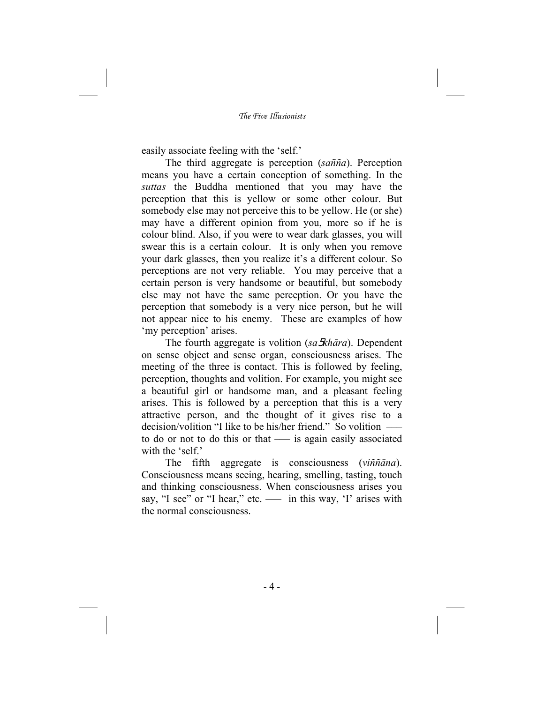easily associate feeling with the 'self.'

The third aggregate is perception (*sañña*). Perception means you have a certain conception of something. In the *suttas* the Buddha mentioned that you may have the perception that this is yellow or some other colour. But somebody else may not perceive this to be yellow. He (or she) may have a different opinion from you, more so if he is colour blind. Also, if you were to wear dark glasses, you will swear this is a certain colour. It is only when you remove your dark glasses, then you realize it's a different colour. So perceptions are not very reliable. You may perceive that a certain person is very handsome or beautiful, but somebody else may not have the same perception. Or you have the perception that somebody is a very nice person, but he will not appear nice to his enemy. These are examples of how 'my perception' arises.

The fourth aggregate is volition (*sa*5*khāra*). Dependent on sense object and sense organ, consciousness arises. The meeting of the three is contact. This is followed by feeling, perception, thoughts and volition. For example, you might see a beautiful girl or handsome man, and a pleasant feeling arises. This is followed by a perception that this is a very attractive person, and the thought of it gives rise to a decision/volition "I like to be his/her friend." So volition ––– to do or not to do this or that —– is again easily associated with the 'self.'

The fifth aggregate is consciousness (*viññāna*). Consciousness means seeing, hearing, smelling, tasting, touch and thinking consciousness. When consciousness arises you say, "I see" or "I hear," etc. — in this way, 'I' arises with the normal consciousness.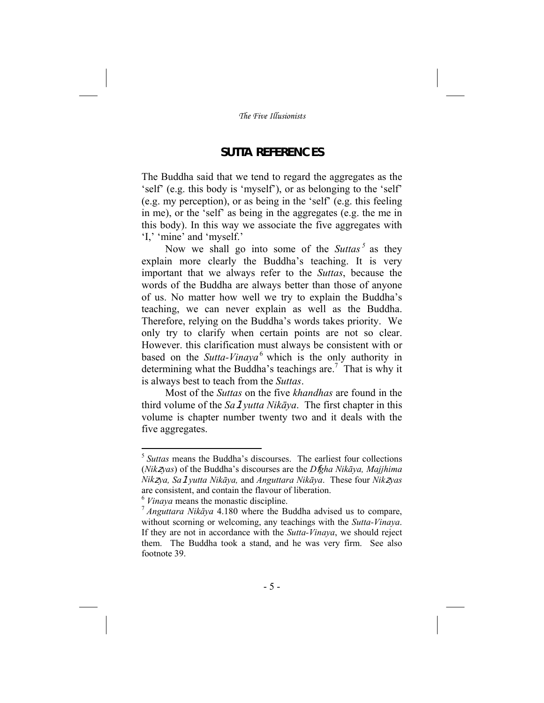# **SUTTA REFERENCES**

The Buddha said that we tend to regard the aggregates as the 'self' (e.g. this body is 'myself'), or as belonging to the 'self' (e.g. my perception), or as being in the 'self' (e.g. this feeling in me), or the 'self' as being in the aggregates (e.g. the me in this body). In this way we associate the five aggregates with 'I,' 'mine' and 'myself.'

Now we shall go into some of the *Suttas*<sup>5</sup> as they explain more clearly the Buddha's teaching. It is very important that we always refer to the *Suttas*, because the words of the Buddha are always better than those of anyone of us. No matter how well we try to explain the Buddha's teaching, we can never explain as well as the Buddha. Therefore, relying on the Buddha's words takes priority. We only try to clarify when certain points are not so clear. However. this clarification must always be consistent with or based on the *Sutta-Vinaya*<sup>6</sup> which is the only authority in determining what the Buddha's teachings are.<sup>7</sup> That is why it is always best to teach from the *Suttas*.

Most of the *Suttas* on the five *khandhas* are found in the third volume of the *Sa*1*yutta Nikāya*. The first chapter in this volume is chapter number twenty two and it deals with the five aggregates.

<sup>&</sup>lt;sup>5</sup> *Suttas* means the Buddha's discourses. The earliest four collections (*Nik*z*yas*) of the Buddha's discourses are the *D*f*gha Nikāya, Majjhima Nik*z*ya, Sa*1*yutta Nikāya,* and *Anguttara Nikāya*. These four *Nik*z*yas* are consistent, and contain the flavour of liberation.

<sup>&</sup>lt;sup>6</sup> *Vinaya* means the monastic discipline.<br><sup>7</sup> *Anguttara Nikāya* 4.180 where the Buddha advised us to compare, without scorning or welcoming, any teachings with the *Sutta-Vinaya*. If they are not in accordance with the *Sutta-Vinaya*, we should reject them. The Buddha took a stand, and he was very firm. See also footnote 39.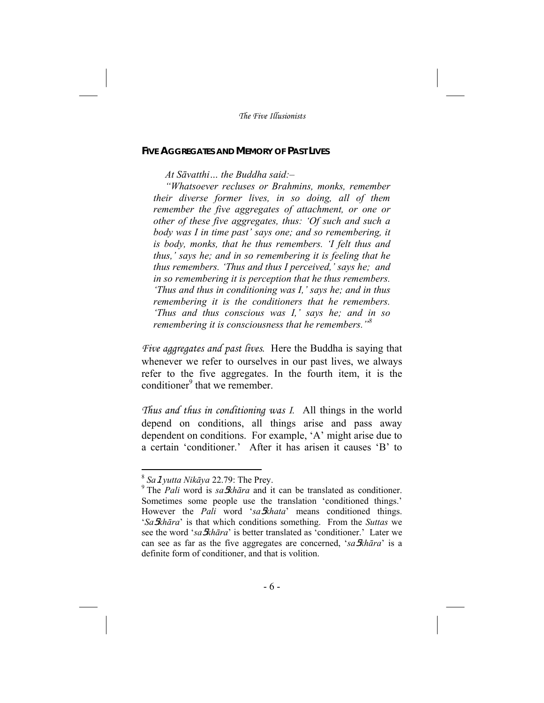#### **FIVE AGGREGATES AND MEMORY OF PAST LIVES**

*At Sāvatthi… the Buddha said:–* 

*"Whatsoever recluses or Brahmins, monks, remember their diverse former lives, in so doing, all of them remember the five aggregates of attachment, or one or other of these five aggregates, thus: 'Of such and such a body was I in time past' says one; and so remembering, it is body, monks, that he thus remembers. 'I felt thus and thus,' says he; and in so remembering it is feeling that he thus remembers. 'Thus and thus I perceived,' says he; and in so remembering it is perception that he thus remembers. 'Thus and thus in conditioning was I,' says he; and in thus remembering it is the conditioners that he remembers. 'Thus and thus conscious was I,' says he; and in so remembering it is consciousness that he remembers."8*

*Five aggregates and past lives*. Here the Buddha is saying that whenever we refer to ourselves in our past lives, we always refer to the five aggregates. In the fourth item, it is the conditioner<sup>9</sup> that we remember.

*Thus and thus in conditioning was I.* All things in the world depend on conditions, all things arise and pass away dependent on conditions. For example, 'A' might arise due to a certain 'conditioner.' After it has arisen it causes 'B' to

<sup>8</sup> *Sa*1*yutta Nikāya* 22.79: The Prey.

<sup>9</sup> The *Pali* word is *sa*5*khāra* and it can be translated as conditioner. Sometimes some people use the translation 'conditioned things.' However the *Pali* word '*sa*5*khata*' means conditioned things. '*Sa*5*khāra*' is that which conditions something. From the *Suttas* we see the word '*sa*5*khāra*' is better translated as 'conditioner.' Later we can see as far as the five aggregates are concerned, '*sa*5*khāra*' is a definite form of conditioner, and that is volition.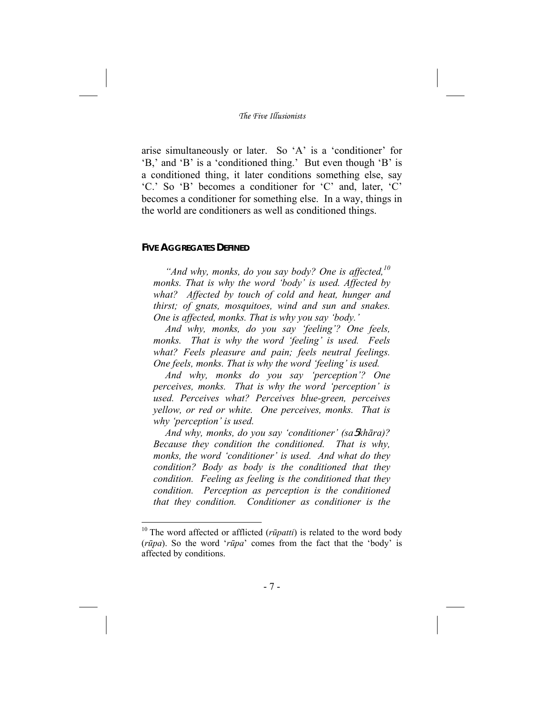arise simultaneously or later. So 'A' is a 'conditioner' for 'B,' and 'B' is a 'conditioned thing.' But even though 'B' is a conditioned thing, it later conditions something else, say 'C.' So 'B' becomes a conditioner for 'C' and, later, 'C' becomes a conditioner for something else. In a way, things in the world are conditioners as well as conditioned things.

#### **FIVE AGGREGATES DEFINED**

-

*"And why, monks, do you say body? One is affected,<sup>10</sup> monks. That is why the word 'body' is used. Affected by what? Affected by touch of cold and heat, hunger and thirst; of gnats, mosquitoes, wind and sun and snakes. One is affected, monks. That is why you say 'body.'* 

*And why, monks, do you say 'feeling'? One feels, monks. That is why the word 'feeling' is used. Feels what? Feels pleasure and pain; feels neutral feelings. One feels, monks. That is why the word 'feeling' is used.* 

*And why, monks do you say 'perception'? One perceives, monks. That is why the word 'perception' is used. Perceives what? Perceives blue-green, perceives yellow, or red or white. One perceives, monks. That is why 'perception' is used.* 

*And why, monks, do you say 'conditioner' (sa*5*khāra)? Because they condition the conditioned. That is why, monks, the word 'conditioner' is used. And what do they condition? Body as body is the conditioned that they condition. Feeling as feeling is the conditioned that they condition. Perception as perception is the conditioned that they condition. Conditioner as conditioner is the* 

<sup>&</sup>lt;sup>10</sup> The word affected or afflicted (*rūpatti*) is related to the word body (*rūpa*). So the word '*rūpa*' comes from the fact that the 'body' is affected by conditions.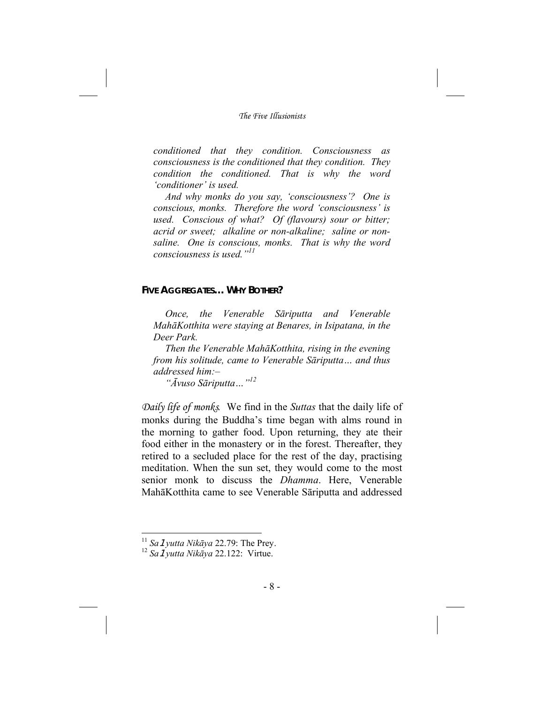*conditioned that they condition. Consciousness as consciousness is the conditioned that they condition. They condition the conditioned. That is why the word 'conditioner' is used.* 

*And why monks do you say, 'consciousness'? One is conscious, monks. Therefore the word 'consciousness' is used. Conscious of what? Of (flavours) sour or bitter; acrid or sweet; alkaline or non-alkaline; saline or nonsaline. One is conscious, monks. That is why the word consciousness is used."<sup>11</sup>*

### **FIVE AGGREGATES… WHY BOTHER?**

*Once, the Venerable Sāriputta and Venerable MahāKotthita were staying at Benares, in Isipatana, in the Deer Park.* 

*Then the Venerable MahāKotthita, rising in the evening from his solitude, came to Venerable Sāriputta… and thus addressed him:–* 

*"Āvuso Sāriputta…"<sup>12</sup>*

*Daily life of monks.* We find in the *Suttas* that the daily life of monks during the Buddha's time began with alms round in the morning to gather food. Upon returning, they ate their food either in the monastery or in the forest. Thereafter, they retired to a secluded place for the rest of the day, practising meditation. When the sun set, they would come to the most senior monk to discuss the *Dhamma*. Here, Venerable MahāKotthita came to see Venerable Sāriputta and addressed

 $11$  Sa 1 vutta Nikāya 22.79: The Prey.

<sup>11</sup> *Sa*1*yutta Nikāya* 22.79: The Prey. 12 *Sa*1*yutta Nikāya* 22.122: Virtue.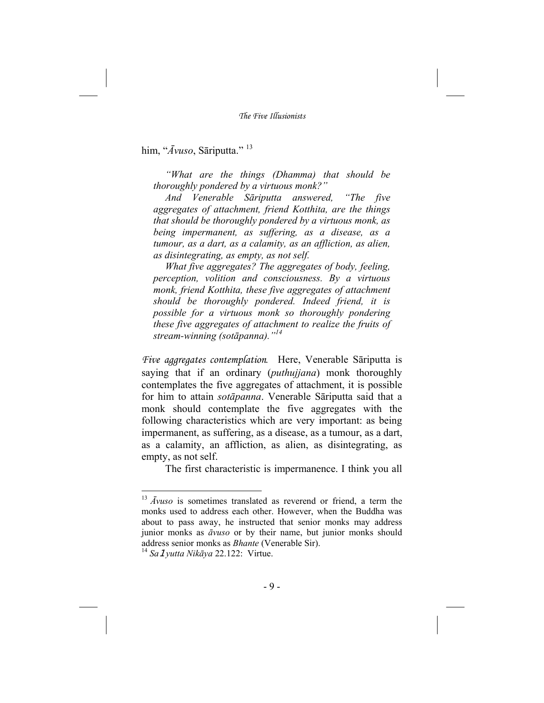him, "*Āvuso*, Sāriputta." <sup>13</sup>

*"What are the things (Dhamma) that should be thoroughly pondered by a virtuous monk?"* 

*And Venerable Sāriputta answered, "The five aggregates of attachment, friend Kotthita, are the things that should be thoroughly pondered by a virtuous monk, as being impermanent, as suffering, as a disease, as a tumour, as a dart, as a calamity, as an affliction, as alien, as disintegrating, as empty, as not self.* 

*What five aggregates? The aggregates of body, feeling, perception, volition and consciousness. By a virtuous monk, friend Kotthita, these five aggregates of attachment should be thoroughly pondered. Indeed friend, it is possible for a virtuous monk so thoroughly pondering these five aggregates of attachment to realize the fruits of stream-winning (sotāpanna)."<sup>14</sup>*

*Five aggregates contemplation.* Here, Venerable Sāriputta is saying that if an ordinary (*puthujjana*) monk thoroughly contemplates the five aggregates of attachment, it is possible for him to attain *sotāpanna*. Venerable Sāriputta said that a monk should contemplate the five aggregates with the following characteristics which are very important: as being impermanent, as suffering, as a disease, as a tumour, as a dart, as a calamity, an affliction, as alien, as disintegrating, as empty, as not self.

The first characteristic is impermanence. I think you all

<sup>13</sup> *Āvuso* is sometimes translated as reverend or friend, a term the monks used to address each other. However, when the Buddha was about to pass away, he instructed that senior monks may address junior monks as *āvuso* or by their name, but junior monks should address senior monks as *Bhante* (Venerable Sir). 14 *Sa*1*yutta Nikāya* 22.122: Virtue.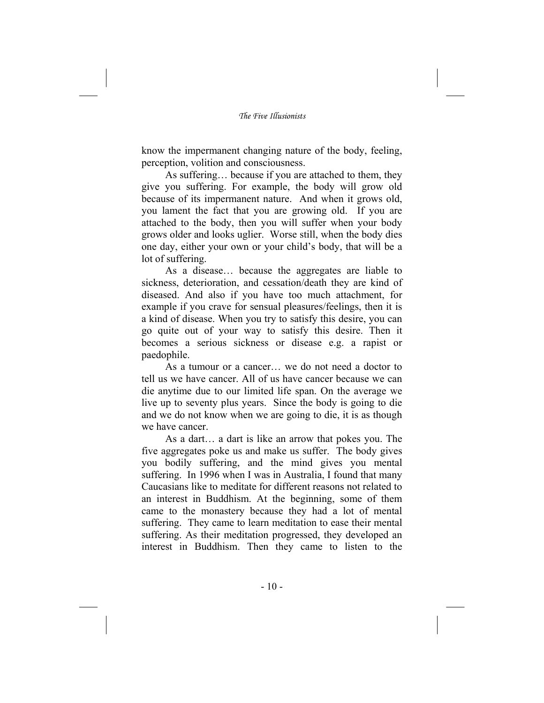know the impermanent changing nature of the body, feeling, perception, volition and consciousness.

As suffering… because if you are attached to them, they give you suffering. For example, the body will grow old because of its impermanent nature. And when it grows old, you lament the fact that you are growing old. If you are attached to the body, then you will suffer when your body grows older and looks uglier. Worse still, when the body dies one day, either your own or your child's body, that will be a lot of suffering.

As a disease… because the aggregates are liable to sickness, deterioration, and cessation/death they are kind of diseased. And also if you have too much attachment, for example if you crave for sensual pleasures/feelings, then it is a kind of disease. When you try to satisfy this desire, you can go quite out of your way to satisfy this desire. Then it becomes a serious sickness or disease e.g. a rapist or paedophile.

As a tumour or a cancer… we do not need a doctor to tell us we have cancer. All of us have cancer because we can die anytime due to our limited life span. On the average we live up to seventy plus years. Since the body is going to die and we do not know when we are going to die, it is as though we have cancer.

As a dart… a dart is like an arrow that pokes you. The five aggregates poke us and make us suffer. The body gives you bodily suffering, and the mind gives you mental suffering. In 1996 when I was in Australia, I found that many Caucasians like to meditate for different reasons not related to an interest in Buddhism. At the beginning, some of them came to the monastery because they had a lot of mental suffering. They came to learn meditation to ease their mental suffering. As their meditation progressed, they developed an interest in Buddhism. Then they came to listen to the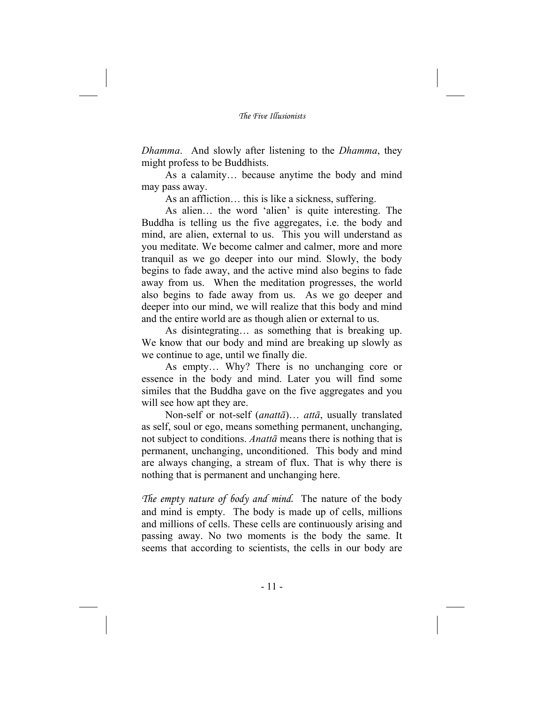*Dhamma*. And slowly after listening to the *Dhamma*, they might profess to be Buddhists.

As a calamity… because anytime the body and mind may pass away.

As an affliction… this is like a sickness, suffering.

As alien… the word 'alien' is quite interesting. The Buddha is telling us the five aggregates, i.e. the body and mind, are alien, external to us. This you will understand as you meditate. We become calmer and calmer, more and more tranquil as we go deeper into our mind. Slowly, the body begins to fade away, and the active mind also begins to fade away from us. When the meditation progresses, the world also begins to fade away from us. As we go deeper and deeper into our mind, we will realize that this body and mind and the entire world are as though alien or external to us.

As disintegrating… as something that is breaking up. We know that our body and mind are breaking up slowly as we continue to age, until we finally die.

As empty… Why? There is no unchanging core or essence in the body and mind. Later you will find some similes that the Buddha gave on the five aggregates and you will see how apt they are.

Non-self or not-self (*anattā*)… *attā*, usually translated as self, soul or ego, means something permanent, unchanging, not subject to conditions. *Anattā* means there is nothing that is permanent, unchanging, unconditioned. This body and mind are always changing, a stream of flux. That is why there is nothing that is permanent and unchanging here.

*The empty nature of body and mind.* The nature of the body and mind is empty. The body is made up of cells, millions and millions of cells. These cells are continuously arising and passing away. No two moments is the body the same. It seems that according to scientists, the cells in our body are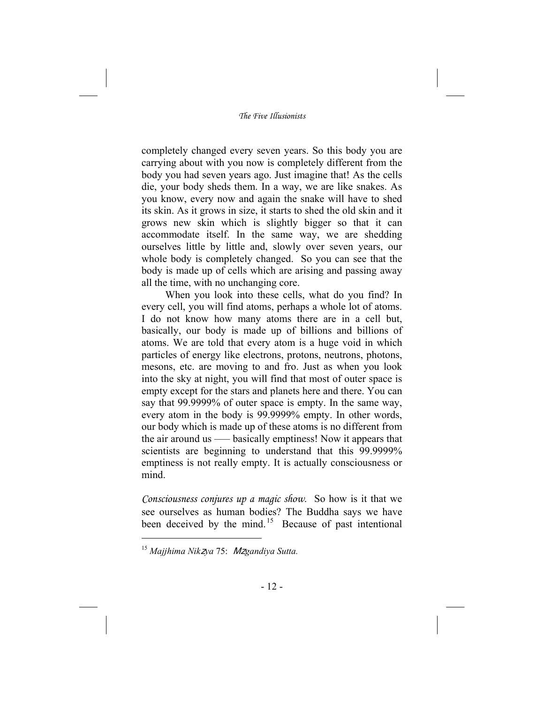completely changed every seven years. So this body you are carrying about with you now is completely different from the body you had seven years ago. Just imagine that! As the cells die, your body sheds them. In a way, we are like snakes. As you know, every now and again the snake will have to shed its skin. As it grows in size, it starts to shed the old skin and it grows new skin which is slightly bigger so that it can accommodate itself. In the same way, we are shedding ourselves little by little and, slowly over seven years, our whole body is completely changed. So you can see that the body is made up of cells which are arising and passing away all the time, with no unchanging core.

When you look into these cells, what do you find? In every cell, you will find atoms, perhaps a whole lot of atoms. I do not know how many atoms there are in a cell but, basically, our body is made up of billions and billions of atoms. We are told that every atom is a huge void in which particles of energy like electrons, protons, neutrons, photons, mesons, etc. are moving to and fro. Just as when you look into the sky at night, you will find that most of outer space is empty except for the stars and planets here and there. You can say that 99.9999% of outer space is empty. In the same way, every atom in the body is 99.9999% empty. In other words, our body which is made up of these atoms is no different from the air around us ––– basically emptiness! Now it appears that scientists are beginning to understand that this 99.9999% emptiness is not really empty. It is actually consciousness or mind.

*Consciousness conjures up a magic show*. So how is it that we see ourselves as human bodies? The Buddha says we have been deceived by the mind.<sup>15</sup> Because of past intentional

<sup>15</sup> *Majjhima Nik*z*ya* 75: <sup>M</sup>z*gandiya Sutta.*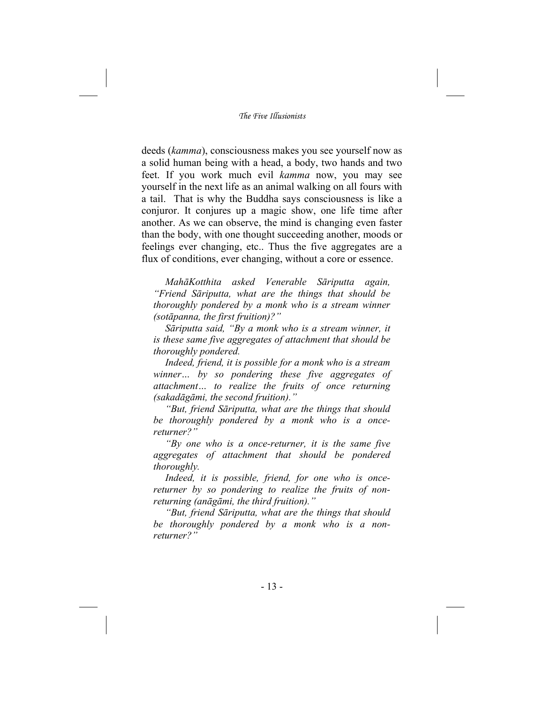deeds (*kamma*), consciousness makes you see yourself now as a solid human being with a head, a body, two hands and two feet. If you work much evil *kamma* now, you may see yourself in the next life as an animal walking on all fours with a tail. That is why the Buddha says consciousness is like a conjuror. It conjures up a magic show, one life time after another. As we can observe, the mind is changing even faster than the body, with one thought succeeding another, moods or feelings ever changing, etc.. Thus the five aggregates are a flux of conditions, ever changing, without a core or essence.

*MahāKotthita asked Venerable Sāriputta again, "Friend Sāriputta, what are the things that should be thoroughly pondered by a monk who is a stream winner (sotāpanna, the first fruition)?"* 

*Sāriputta said, "By a monk who is a stream winner, it is these same five aggregates of attachment that should be thoroughly pondered.* 

*Indeed, friend, it is possible for a monk who is a stream winner… by so pondering these five aggregates of attachment… to realize the fruits of once returning (sakadāgāmi, the second fruition)."* 

*"But, friend Sāriputta, what are the things that should be thoroughly pondered by a monk who is a oncereturner?"* 

*"By one who is a once-returner, it is the same five aggregates of attachment that should be pondered thoroughly.* 

*Indeed, it is possible, friend, for one who is oncereturner by so pondering to realize the fruits of nonreturning (anāgāmi, the third fruition)."* 

*"But, friend Sāriputta, what are the things that should be thoroughly pondered by a monk who is a nonreturner?"*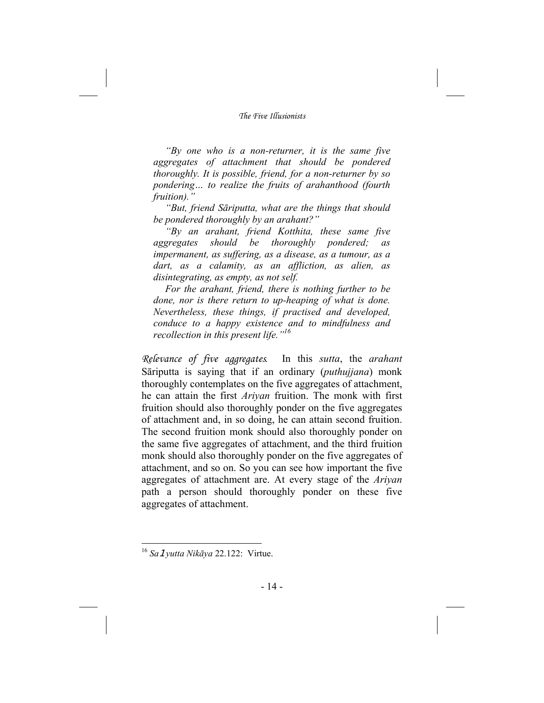*"By one who is a non-returner, it is the same five aggregates of attachment that should be pondered thoroughly. It is possible, friend, for a non-returner by so pondering… to realize the fruits of arahanthood (fourth fruition)."* 

*"But, friend Sāriputta, what are the things that should be pondered thoroughly by an arahant?"* 

*"By an arahant, friend Kotthita, these same five aggregates should be thoroughly pondered; as impermanent, as suffering, as a disease, as a tumour, as a dart, as a calamity, as an affliction, as alien, as disintegrating, as empty, as not self.* 

*For the arahant, friend, there is nothing further to be done, nor is there return to up-heaping of what is done. Nevertheless, these things, if practised and developed, conduce to a happy existence and to mindfulness and recollection in this present life."<sup>16</sup>*

*Relevance of five aggregates.* In this *sutta*, the *arahant*  Sāriputta is saying that if an ordinary (*puthujjana*) monk thoroughly contemplates on the five aggregates of attachment, he can attain the first *Ariyan* fruition. The monk with first fruition should also thoroughly ponder on the five aggregates of attachment and, in so doing, he can attain second fruition. The second fruition monk should also thoroughly ponder on the same five aggregates of attachment, and the third fruition monk should also thoroughly ponder on the five aggregates of attachment, and so on. So you can see how important the five aggregates of attachment are. At every stage of the *Ariyan* path a person should thoroughly ponder on these five aggregates of attachment.

<sup>16</sup> *Sa*1*yutta Nikāya* 22.122: Virtue.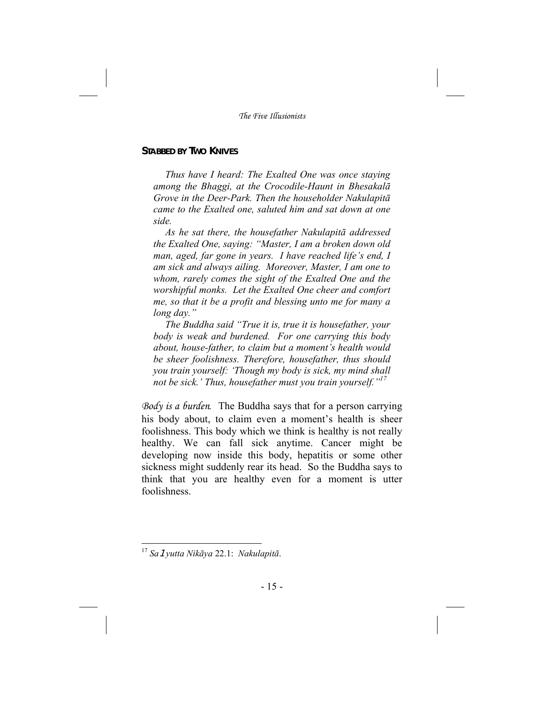## **STABBED BY TWO KNIVES**

*Thus have I heard: The Exalted One was once staying among the Bhaggi, at the Crocodile-Haunt in Bhesakalā Grove in the Deer-Park. Then the householder Nakulapitā came to the Exalted one, saluted him and sat down at one side.* 

*As he sat there, the housefather Nakulapitā addressed the Exalted One, saying: "Master, I am a broken down old man, aged, far gone in years. I have reached life's end, I am sick and always ailing. Moreover, Master, I am one to whom, rarely comes the sight of the Exalted One and the worshipful monks. Let the Exalted One cheer and comfort me, so that it be a profit and blessing unto me for many a long day."* 

*The Buddha said "True it is, true it is housefather, your body is weak and burdened. For one carrying this body about, house-father, to claim but a moment's health would be sheer foolishness. Therefore, housefather, thus should you train yourself: 'Though my body is sick, my mind shall not be sick.' Thus, housefather must you train yourself."17*

*Body is a burden.* The Buddha says that for a person carrying his body about, to claim even a moment's health is sheer foolishness. This body which we think is healthy is not really healthy. We can fall sick anytime. Cancer might be developing now inside this body, hepatitis or some other sickness might suddenly rear its head. So the Buddha says to think that you are healthy even for a moment is utter foolishness.

<sup>17</sup> *Sa*1*yutta Nikāya* 22.1: *Nakulapitā*.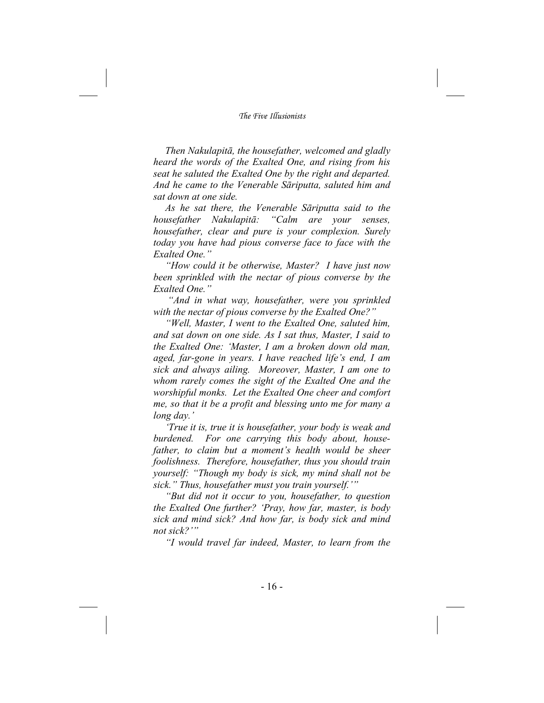*Then Nakulapitā, the housefather, welcomed and gladly heard the words of the Exalted One, and rising from his seat he saluted the Exalted One by the right and departed. And he came to the Venerable Sāriputta, saluted him and sat down at one side.* 

*As he sat there, the Venerable Sāriputta said to the housefather Nakulapitā: "Calm are your senses, housefather, clear and pure is your complexion. Surely today you have had pious converse face to face with the Exalted One."* 

*"How could it be otherwise, Master? I have just now been sprinkled with the nectar of pious converse by the Exalted One."* 

 *"And in what way, housefather, were you sprinkled with the nectar of pious converse by the Exalted One?"* 

*"Well, Master, I went to the Exalted One, saluted him, and sat down on one side. As I sat thus, Master, I said to the Exalted One: 'Master, I am a broken down old man, aged, far-gone in years. I have reached life's end, I am sick and always ailing. Moreover, Master, I am one to whom rarely comes the sight of the Exalted One and the worshipful monks. Let the Exalted One cheer and comfort me, so that it be a profit and blessing unto me for many a long day.'* 

*'True it is, true it is housefather, your body is weak and burdened. For one carrying this body about, housefather, to claim but a moment's health would be sheer foolishness. Therefore, housefather, thus you should train yourself: "Though my body is sick, my mind shall not be sick." Thus, housefather must you train yourself.'"* 

*"But did not it occur to you, housefather, to question the Exalted One further? 'Pray, how far, master, is body sick and mind sick? And how far, is body sick and mind not sick?'"* 

*"I would travel far indeed, Master, to learn from the*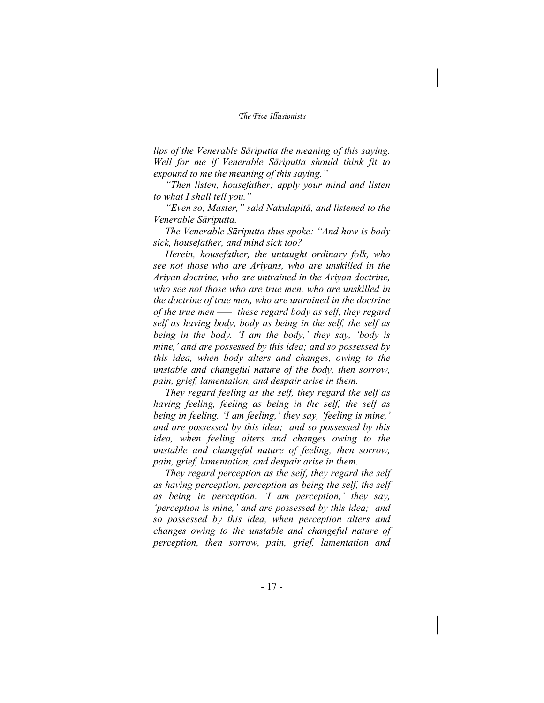*lips of the Venerable Sāriputta the meaning of this saying. Well for me if Venerable Sāriputta should think fit to expound to me the meaning of this saying."* 

*"Then listen, housefather; apply your mind and listen to what I shall tell you."* 

*"Even so, Master," said Nakulapitā, and listened to the Venerable Sāriputta.* 

*The Venerable Sāriputta thus spoke: "And how is body sick, housefather, and mind sick too?* 

*Herein, housefather, the untaught ordinary folk, who see not those who are Ariyans, who are unskilled in the Ariyan doctrine, who are untrained in the Ariyan doctrine, who see not those who are true men, who are unskilled in the doctrine of true men, who are untrained in the doctrine of the true men ––– these regard body as self, they regard self as having body, body as being in the self, the self as being in the body. 'I am the body,' they say, 'body is mine,' and are possessed by this idea; and so possessed by this idea, when body alters and changes, owing to the unstable and changeful nature of the body, then sorrow, pain, grief, lamentation, and despair arise in them.* 

*They regard feeling as the self, they regard the self as having feeling, feeling as being in the self, the self as being in feeling. 'I am feeling,' they say, 'feeling is mine,' and are possessed by this idea; and so possessed by this idea, when feeling alters and changes owing to the unstable and changeful nature of feeling, then sorrow, pain, grief, lamentation, and despair arise in them.* 

*They regard perception as the self, they regard the self as having perception, perception as being the self, the self as being in perception. 'I am perception,' they say, 'perception is mine,' and are possessed by this idea; and so possessed by this idea, when perception alters and changes owing to the unstable and changeful nature of perception, then sorrow, pain, grief, lamentation and*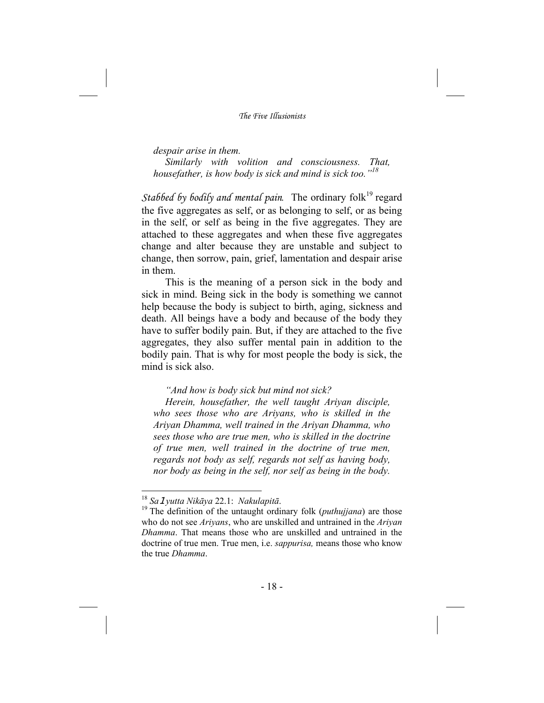#### *despair arise in them.*

*Similarly with volition and consciousness. That, housefather, is how body is sick and mind is sick too."<sup>18</sup>*

*Stabbed by bodily and mental pain.* The ordinary folk<sup>19</sup> regard the five aggregates as self, or as belonging to self, or as being in the self, or self as being in the five aggregates. They are attached to these aggregates and when these five aggregates change and alter because they are unstable and subject to change, then sorrow, pain, grief, lamentation and despair arise in them.

This is the meaning of a person sick in the body and sick in mind. Being sick in the body is something we cannot help because the body is subject to birth, aging, sickness and death. All beings have a body and because of the body they have to suffer bodily pain. But, if they are attached to the five aggregates, they also suffer mental pain in addition to the bodily pain. That is why for most people the body is sick, the mind is sick also.

#### *"And how is body sick but mind not sick?*

*Herein, housefather, the well taught Ariyan disciple, who sees those who are Ariyans, who is skilled in the Ariyan Dhamma, well trained in the Ariyan Dhamma, who sees those who are true men, who is skilled in the doctrine of true men, well trained in the doctrine of true men, regards not body as self, regards not self as having body, nor body as being in the self, nor self as being in the body.* 

<sup>18</sup> *Sa*1*yutta Nikāya* 22.1: *Nakulapitā*. 19 The definition of the untaught ordinary folk (*puthujjana*) are those who do not see *Ariyans*, who are unskilled and untrained in the *Ariyan Dhamma*. That means those who are unskilled and untrained in the doctrine of true men. True men, i.e. *sappurisa,* means those who know the true *Dhamma*.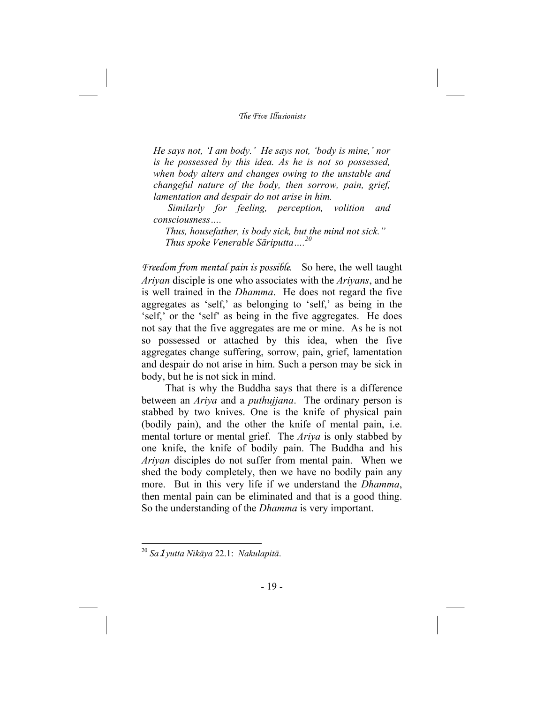*He says not, 'I am body.' He says not, 'body is mine,' nor is he possessed by this idea. As he is not so possessed, when body alters and changes owing to the unstable and changeful nature of the body, then sorrow, pain, grief, lamentation and despair do not arise in him.* 

 *Similarly for feeling, perception, volition and consciousness….* 

*Thus, housefather, is body sick, but the mind not sick." Thus spoke Venerable Sāriputta….<sup>20</sup>*

*Freedom from mental pain is possible.* So here, the well taught *Ariyan* disciple is one who associates with the *Ariyans*, and he is well trained in the *Dhamma*. He does not regard the five aggregates as 'self,' as belonging to 'self,' as being in the 'self,' or the 'self' as being in the five aggregates. He does not say that the five aggregates are me or mine. As he is not so possessed or attached by this idea, when the five aggregates change suffering, sorrow, pain, grief, lamentation and despair do not arise in him. Such a person may be sick in body, but he is not sick in mind.

That is why the Buddha says that there is a difference between an *Ariya* and a *puthujjana*. The ordinary person is stabbed by two knives. One is the knife of physical pain (bodily pain), and the other the knife of mental pain, i.e. mental torture or mental grief. The *Ariya* is only stabbed by one knife, the knife of bodily pain. The Buddha and his *Ariyan* disciples do not suffer from mental pain. When we shed the body completely, then we have no bodily pain any more. But in this very life if we understand the *Dhamma*, then mental pain can be eliminated and that is a good thing. So the understanding of the *Dhamma* is very important.

<sup>20</sup> *Sa*1*yutta Nikāya* 22.1: *Nakulapitā*.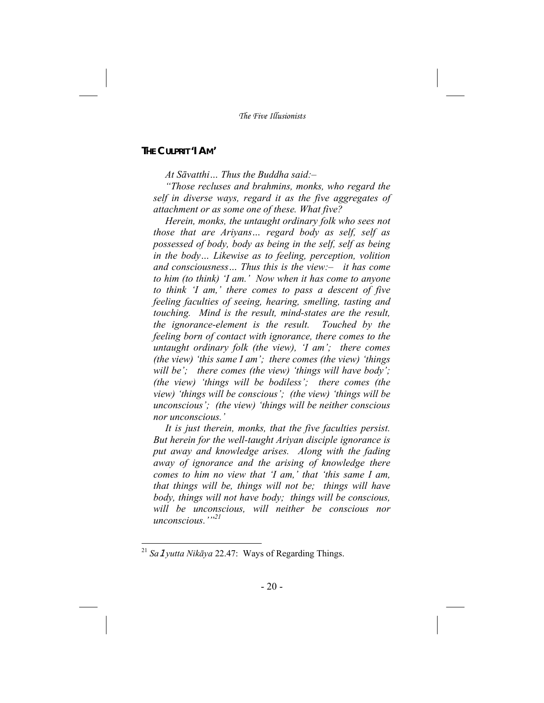## **THE CULPRIT 'I AM'**

*At Sāvatthi… Thus the Buddha said:–* 

*"Those recluses and brahmins, monks, who regard the self in diverse ways, regard it as the five aggregates of attachment or as some one of these. What five?* 

*Herein, monks, the untaught ordinary folk who sees not those that are Ariyans… regard body as self, self as possessed of body, body as being in the self, self as being in the body… Likewise as to feeling, perception, volition and consciousness… Thus this is the view:– it has come to him (to think) 'I am.' Now when it has come to anyone to think 'I am,' there comes to pass a descent of five feeling faculties of seeing, hearing, smelling, tasting and touching. Mind is the result, mind-states are the result, the ignorance-element is the result. Touched by the feeling born of contact with ignorance, there comes to the untaught ordinary folk (the view), 'I am'; there comes (the view) 'this same I am'; there comes (the view) 'things will be'; there comes (the view) 'things will have body'; (the view) 'things will be bodiless'; there comes (the view) 'things will be conscious'; (the view) 'things will be unconscious'; (the view) 'things will be neither conscious nor unconscious.'* 

*It is just therein, monks, that the five faculties persist. But herein for the well-taught Ariyan disciple ignorance is put away and knowledge arises. Along with the fading away of ignorance and the arising of knowledge there comes to him no view that 'I am,' that 'this same I am, that things will be, things will not be; things will have body, things will not have body; things will be conscious, will be unconscious, will neither be conscious nor unconscious.'"21*

<sup>21</sup> *Sa*1*yutta Nikāya* 22.47: Ways of Regarding Things.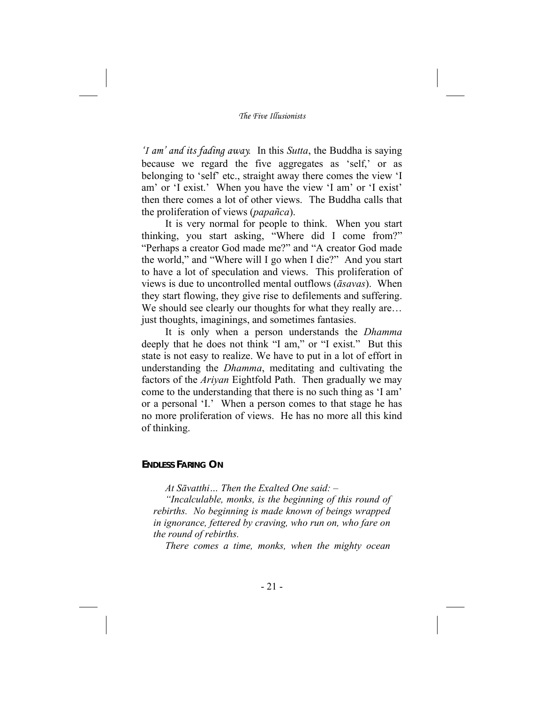*'I am' and its fading away.* In this *Sutta*, the Buddha is saying because we regard the five aggregates as 'self,' or as belonging to 'self' etc., straight away there comes the view 'I am' or 'I exist.' When you have the view 'I am' or 'I exist' then there comes a lot of other views. The Buddha calls that the proliferation of views (*papañca*).

It is very normal for people to think. When you start thinking, you start asking, "Where did I come from?" "Perhaps a creator God made me?" and "A creator God made the world," and "Where will I go when I die?" And you start to have a lot of speculation and views. This proliferation of views is due to uncontrolled mental outflows (*āsavas*). When they start flowing, they give rise to defilements and suffering. We should see clearly our thoughts for what they really are... just thoughts, imaginings, and sometimes fantasies.

It is only when a person understands the *Dhamma* deeply that he does not think "I am," or "I exist." But this state is not easy to realize. We have to put in a lot of effort in understanding the *Dhamma*, meditating and cultivating the factors of the *Ariyan* Eightfold Path. Then gradually we may come to the understanding that there is no such thing as 'I am' or a personal 'I.' When a person comes to that stage he has no more proliferation of views. He has no more all this kind of thinking.

#### **ENDLESS FARING ON**

*At Sāvatthi… Then the Exalted One said: –* 

*"Incalculable, monks, is the beginning of this round of rebirths. No beginning is made known of beings wrapped in ignorance, fettered by craving, who run on, who fare on the round of rebirths.* 

*There comes a time, monks, when the mighty ocean*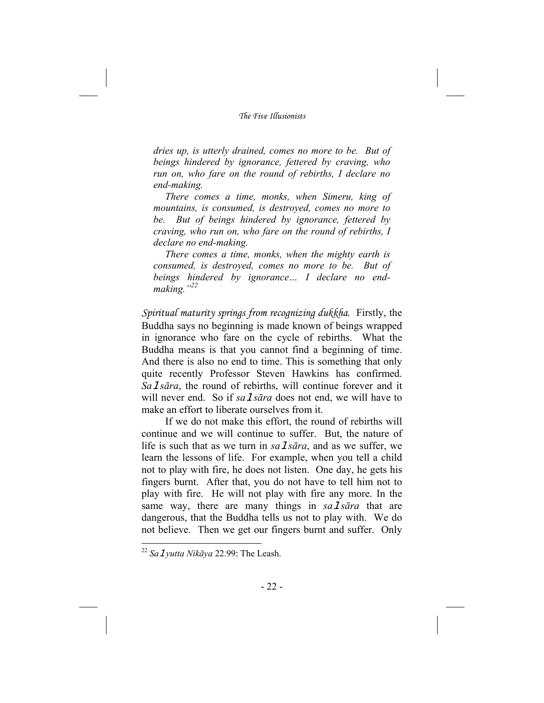*dries up, is utterly drained, comes no more to be. But of beings hindered by ignorance, fettered by craving, who run on, who fare on the round of rebirths, I declare no end-making.* 

*There comes a time, monks, when Simeru, king of mountains, is consumed, is destroyed, comes no more to be. But of beings hindered by ignorance, fettered by craving, who run on, who fare on the round of rebirths, I declare no end-making.* 

*There comes a time, monks, when the mighty earth is consumed, is destroyed, comes no more to be. But of beings hindered by ignorance… I declare no endmaking."<sup>22</sup>*

*Spiritual maturity springs from recognizing dukkha*. Firstly, the Buddha says no beginning is made known of beings wrapped in ignorance who fare on the cycle of rebirths. What the Buddha means is that you cannot find a beginning of time. And there is also no end to time. This is something that only quite recently Professor Steven Hawkins has confirmed. *Sa*1*sāra*, the round of rebirths, will continue forever and it will never end. So if *sa 1 sara* does not end, we will have to make an effort to liberate ourselves from it.

If we do not make this effort, the round of rebirths will continue and we will continue to suffer. But, the nature of life is such that as we turn in *sa 1 sara*, and as we suffer, we learn the lessons of life. For example, when you tell a child not to play with fire, he does not listen. One day, he gets his fingers burnt. After that, you do not have to tell him not to play with fire. He will not play with fire any more. In the same way, there are many things in *sa*1*sāra* that are dangerous, that the Buddha tells us not to play with. We do not believe. Then we get our fingers burnt and suffer. Only

<sup>22</sup> *Sa*1*yutta Nikāya* 22.99: The Leash.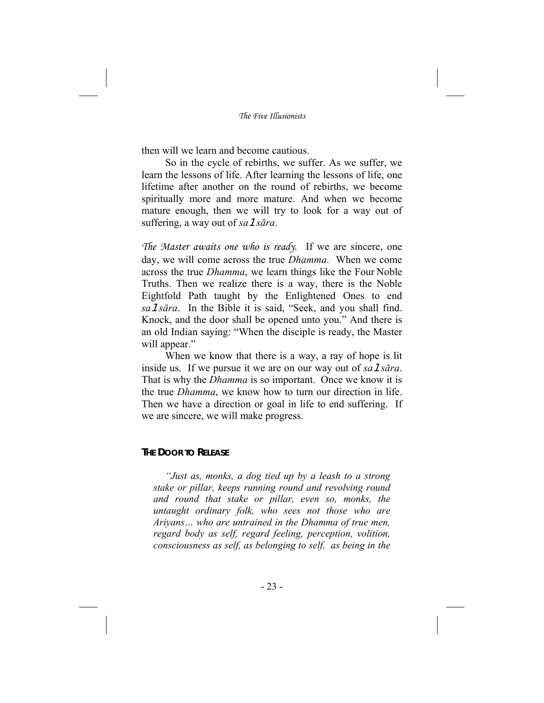then will we learn and become cautious.

So in the cycle of rebirths, we suffer. As we suffer, we learn the lessons of life. After learning the lessons of life, one lifetime after another on the round of rebirths, we become spiritually more and more mature. And when we become mature enough, then we will try to look for a way out of suffering, a way out of *sa*1*sāra*.

*The Master awaits one who is ready*. If we are sincere, one day, we will come across the true *Dhamma*. When we come across the true *Dhamma*, we learn things like the Four Noble Truths. Then we realize there is a way, there is the Noble Eightfold Path taught by the Enlightened Ones to end *sa*1*sāra*. In the Bible it is said, "Seek, and you shall find. Knock, and the door shall be opened unto you." And there is an old Indian saying: "When the disciple is ready, the Master will appear."

When we know that there is a way, a ray of hope is lit inside us. If we pursue it we are on our way out of *sa* 1*sara*. That is why the *Dhamma* is so important. Once we know it is the true *Dhamma*, we know how to turn our direction in life. Then we have a direction or goal in life to end suffering. If we are sincere, we will make progress.

#### **THE DOOR TO RELEASE**

*"Just as, monks, a dog tied up by a leash to a strong stake or pillar, keeps running round and revolving round and round that stake or pillar, even so, monks, the untaught ordinary folk, who sees not those who are Ariyans… who are untrained in the Dhamma of true men, regard body as self, regard feeling, perception, volition, consciousness as self, as belonging to self, as being in the*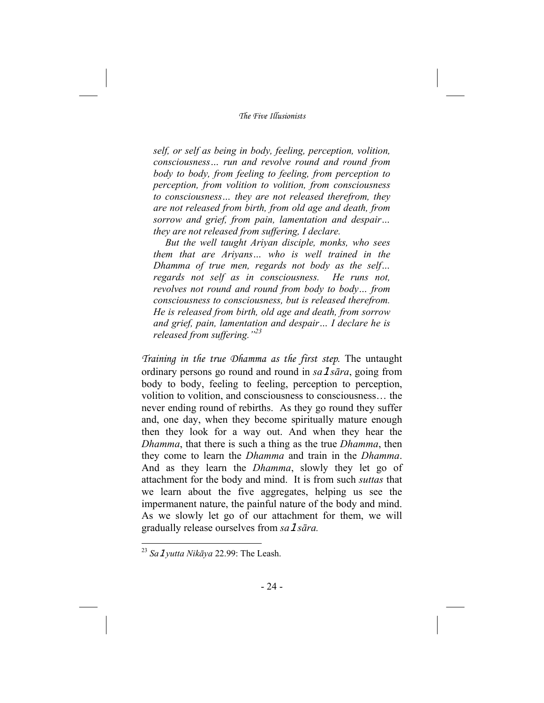*self, or self as being in body, feeling, perception, volition, consciousness… run and revolve round and round from body to body, from feeling to feeling, from perception to perception, from volition to volition, from consciousness to consciousness… they are not released therefrom, they are not released from birth, from old age and death, from sorrow and grief, from pain, lamentation and despair… they are not released from suffering, I declare.* 

*But the well taught Ariyan disciple, monks, who sees them that are Ariyans… who is well trained in the Dhamma of true men, regards not body as the self… regards not self as in consciousness. He runs not, revolves not round and round from body to body… from consciousness to consciousness, but is released therefrom. He is released from birth, old age and death, from sorrow and grief, pain, lamentation and despair… I declare he is released from suffering."23*

*Training in the true Dhamma as the first step*. The untaught ordinary persons go round and round in *sa*1*sāra*, going from body to body, feeling to feeling, perception to perception, volition to volition, and consciousness to consciousness… the never ending round of rebirths. As they go round they suffer and, one day, when they become spiritually mature enough then they look for a way out. And when they hear the *Dhamma*, that there is such a thing as the true *Dhamma*, then they come to learn the *Dhamma* and train in the *Dhamma*. And as they learn the *Dhamma*, slowly they let go of attachment for the body and mind. It is from such *suttas* that we learn about the five aggregates, helping us see the impermanent nature, the painful nature of the body and mind. As we slowly let go of our attachment for them, we will gradually release ourselves from *sa*1*sāra.*

<sup>23</sup> *Sa*1*yutta Nikāya* 22.99: The Leash.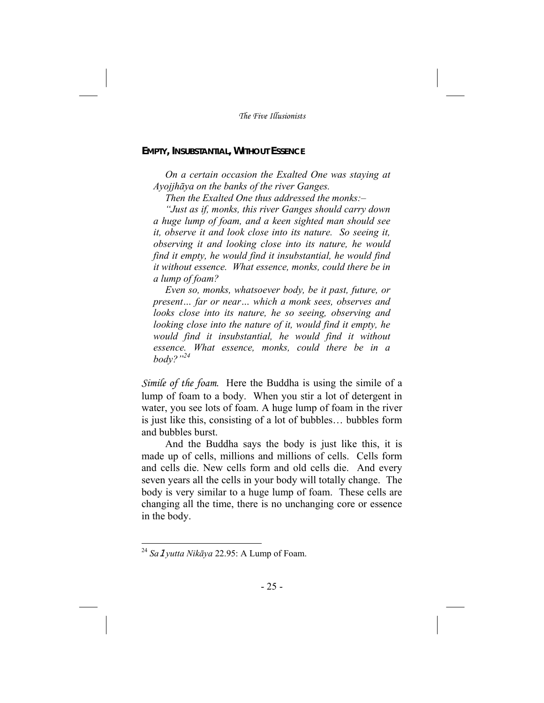#### **EMPTY, INSUBSTANTIAL, WITHOUT ESSENCE**

*On a certain occasion the Exalted One was staying at Ayojjhāya on the banks of the river Ganges.* 

*Then the Exalted One thus addressed the monks:–* 

*"Just as if, monks, this river Ganges should carry down a huge lump of foam, and a keen sighted man should see it, observe it and look close into its nature. So seeing it, observing it and looking close into its nature, he would find it empty, he would find it insubstantial, he would find it without essence. What essence, monks, could there be in a lump of foam?* 

*Even so, monks, whatsoever body, be it past, future, or present… far or near… which a monk sees, observes and looks close into its nature, he so seeing, observing and looking close into the nature of it, would find it empty, he would find it insubstantial, he would find it without essence. What essence, monks, could there be in a body?"24* 

*Simile of the foam*. Here the Buddha is using the simile of a lump of foam to a body. When you stir a lot of detergent in water, you see lots of foam. A huge lump of foam in the river is just like this, consisting of a lot of bubbles… bubbles form and bubbles burst.

And the Buddha says the body is just like this, it is made up of cells, millions and millions of cells. Cells form and cells die. New cells form and old cells die. And every seven years all the cells in your body will totally change. The body is very similar to a huge lump of foam. These cells are changing all the time, there is no unchanging core or essence in the body.

<sup>24</sup> *Sa*1*yutta Nikāya* 22.95: A Lump of Foam.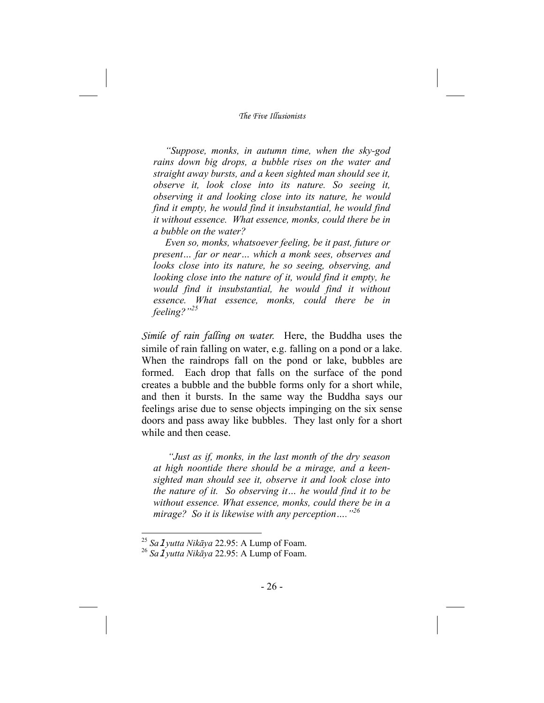*"Suppose, monks, in autumn time, when the sky-god rains down big drops, a bubble rises on the water and straight away bursts, and a keen sighted man should see it, observe it, look close into its nature. So seeing it, observing it and looking close into its nature, he would find it empty, he would find it insubstantial, he would find it without essence. What essence, monks, could there be in a bubble on the water?* 

*Even so, monks, whatsoever feeling, be it past, future or present… far or near… which a monk sees, observes and looks close into its nature, he so seeing, observing, and looking close into the nature of it, would find it empty, he would find it insubstantial, he would find it without essence. What essence, monks, could there be in feeling?"<sup>25</sup>*

*Simile of rain falling on water*. Here, the Buddha uses the simile of rain falling on water, e.g. falling on a pond or a lake. When the raindrops fall on the pond or lake, bubbles are formed. Each drop that falls on the surface of the pond creates a bubble and the bubble forms only for a short while, and then it bursts. In the same way the Buddha says our feelings arise due to sense objects impinging on the six sense doors and pass away like bubbles. They last only for a short while and then cease.

*"Just as if, monks, in the last month of the dry season at high noontide there should be a mirage, and a keensighted man should see it, observe it and look close into the nature of it. So observing it… he would find it to be without essence. What essence, monks, could there be in a mirage? So it is likewise with any perception…."<sup>26</sup>*

<sup>25</sup> *Sa*1*yutta Nikāya* 22.95: A Lump of Foam.

<sup>26</sup> *Sa*1*yutta Nikāya* 22.95: A Lump of Foam.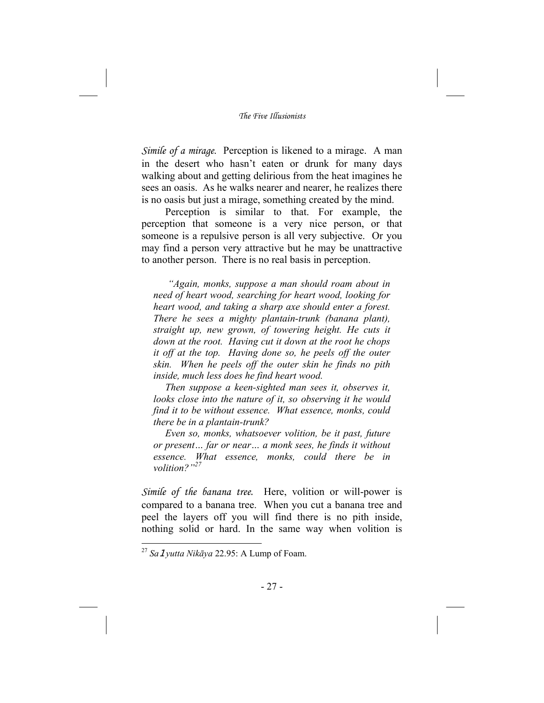*Simile of a mirage*. Perception is likened to a mirage. A man in the desert who hasn't eaten or drunk for many days walking about and getting delirious from the heat imagines he sees an oasis. As he walks nearer and nearer, he realizes there is no oasis but just a mirage, something created by the mind.

Perception is similar to that. For example, the perception that someone is a very nice person, or that someone is a repulsive person is all very subjective. Or you may find a person very attractive but he may be unattractive to another person. There is no real basis in perception.

*"Again, monks, suppose a man should roam about in need of heart wood, searching for heart wood, looking for heart wood, and taking a sharp axe should enter a forest. There he sees a mighty plantain-trunk (banana plant), straight up, new grown, of towering height. He cuts it down at the root. Having cut it down at the root he chops it off at the top. Having done so, he peels off the outer skin. When he peels off the outer skin he finds no pith inside, much less does he find heart wood.* 

*Then suppose a keen-sighted man sees it, observes it, looks close into the nature of it, so observing it he would find it to be without essence. What essence, monks, could there be in a plantain-trunk?* 

*Even so, monks, whatsoever volition, be it past, future or present… far or near… a monk sees, he finds it without essence. What essence, monks, could there be in volition?"<sup>27</sup>*

*Simile of the banana tree.* Here, volition or will-power is compared to a banana tree. When you cut a banana tree and peel the layers off you will find there is no pith inside, nothing solid or hard. In the same way when volition is

<sup>27</sup> *Sa*1*yutta Nikāya* 22.95: A Lump of Foam.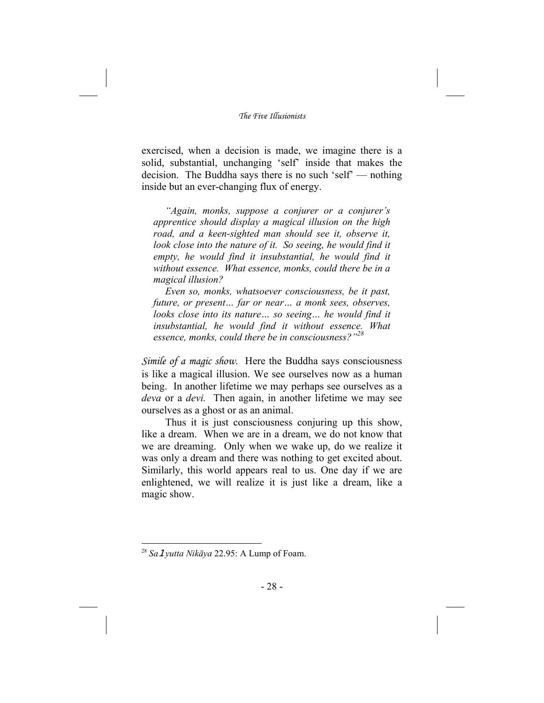exercised, when a decision is made, we imagine there is a solid, substantial, unchanging 'self' inside that makes the decision. The Buddha says there is no such 'self' — nothing inside but an ever-changing flux of energy.

*"Again, monks, suppose a conjurer or a conjurer's apprentice should display a magical illusion on the high road, and a keen-sighted man should see it, observe it, look close into the nature of it. So seeing, he would find it empty, he would find it insubstantial, he would find it without essence. What essence, monks, could there be in a magical illusion?* 

*Even so, monks, whatsoever consciousness, be it past, future, or present… far or near… a monk sees, observes, looks close into its nature... so seeing... he would find it insubstantial, he would find it without essence. What essence, monks, could there be in consciousness?"<sup>28</sup>*

*Simile of a magic show*. Here the Buddha says consciousness is like a magical illusion. We see ourselves now as a human being. In another lifetime we may perhaps see ourselves as a *deva* or a *devi.* Then again, in another lifetime we may see ourselves as a ghost or as an animal.

Thus it is just consciousness conjuring up this show, like a dream. When we are in a dream, we do not know that we are dreaming. Only when we wake up, do we realize it was only a dream and there was nothing to get excited about. Similarly, this world appears real to us. One day if we are enlightened, we will realize it is just like a dream, like a magic show.

<sup>28</sup> *Sa*1*yutta Nikāya* 22.95: A Lump of Foam.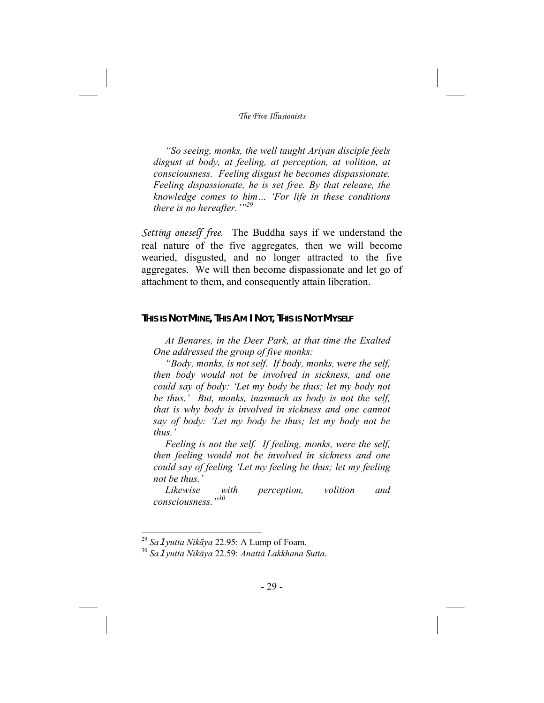*"So seeing, monks, the well taught Ariyan disciple feels disgust at body, at feeling, at perception, at volition, at consciousness. Feeling disgust he becomes dispassionate. Feeling dispassionate, he is set free. By that release, the knowledge comes to him… 'For life in these conditions there is no hereafter.'"<sup>29</sup>*

*Setting oneself free*. The Buddha says if we understand the real nature of the five aggregates, then we will become wearied, disgusted, and no longer attracted to the five aggregates. We will then become dispassionate and let go of attachment to them, and consequently attain liberation.

#### **THIS IS NOT MINE, THIS AM I NOT, THIS IS NOT MYSELF**

*At Benares, in the Deer Park, at that time the Exalted One addressed the group of five monks:* 

*"Body, monks, is not self. If body, monks, were the self, then body would not be involved in sickness, and one could say of body: 'Let my body be thus; let my body not be thus.' But, monks, inasmuch as body is not the self, that is why body is involved in sickness and one cannot say of body: 'Let my body be thus; let my body not be thus.'* 

*Feeling is not the self. If feeling, monks, were the self, then feeling would not be involved in sickness and one could say of feeling 'Let my feeling be thus; let my feeling not be thus.'* 

*Likewise with perception, volition and consciousness."<sup>30</sup>*

<sup>29</sup> *Sa*1*yutta Nikāya* 22.95: A Lump of Foam.

<sup>30</sup> *Sa*1*yutta Nikāya* 22.59: *Anattā Lakkhana Sutta*.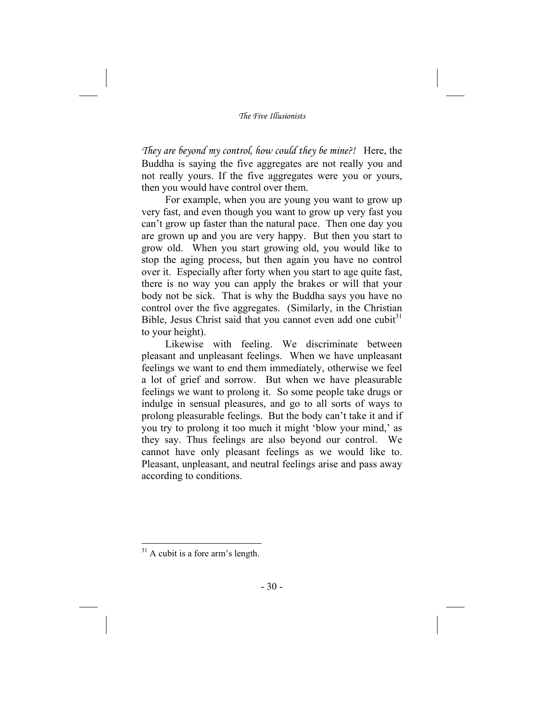*They are beyond my control, how could they be mine?!* Here, the Buddha is saying the five aggregates are not really you and not really yours. If the five aggregates were you or yours, then you would have control over them.

For example, when you are young you want to grow up very fast, and even though you want to grow up very fast you can't grow up faster than the natural pace. Then one day you are grown up and you are very happy. But then you start to grow old. When you start growing old, you would like to stop the aging process, but then again you have no control over it. Especially after forty when you start to age quite fast, there is no way you can apply the brakes or will that your body not be sick. That is why the Buddha says you have no control over the five aggregates. (Similarly, in the Christian Bible, Jesus Christ said that you cannot even add one cubit<sup>31</sup> to your height).

Likewise with feeling. We discriminate between pleasant and unpleasant feelings. When we have unpleasant feelings we want to end them immediately, otherwise we feel a lot of grief and sorrow. But when we have pleasurable feelings we want to prolong it. So some people take drugs or indulge in sensual pleasures, and go to all sorts of ways to prolong pleasurable feelings. But the body can't take it and if you try to prolong it too much it might 'blow your mind,' as they say. Thus feelings are also beyond our control. We cannot have only pleasant feelings as we would like to. Pleasant, unpleasant, and neutral feelings arise and pass away according to conditions.

 $31$  A cubit is a fore arm's length.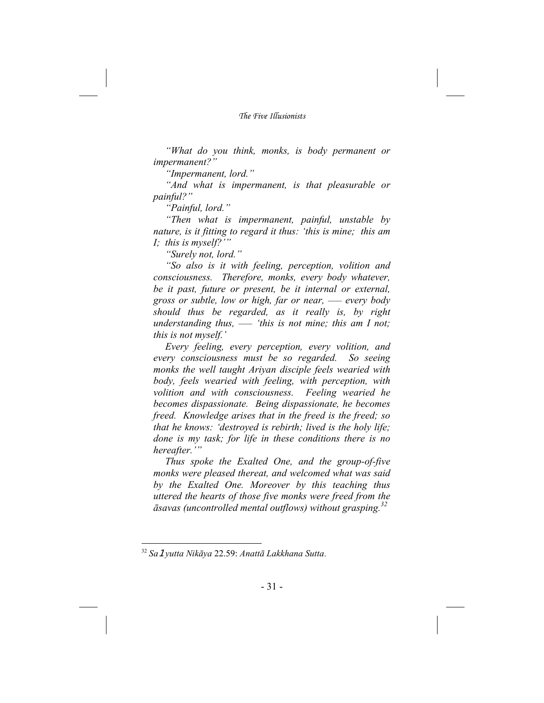*"What do you think, monks, is body permanent or impermanent?"* 

*"Impermanent, lord."* 

*"And what is impermanent, is that pleasurable or painful?"* 

*"Painful, lord."* 

*"Then what is impermanent, painful, unstable by nature, is it fitting to regard it thus: 'this is mine; this am I; this is myself?'"* 

*"Surely not, lord."* 

*"So also is it with feeling, perception, volition and consciousness. Therefore, monks, every body whatever, be it past, future or present, be it internal or external, gross or subtle, low or high, far or near, — every body should thus be regarded, as it really is, by right understanding thus, — 'this is not mine; this am I not; this is not myself.'*

*Every feeling, every perception, every volition, and every consciousness must be so regarded. So seeing monks the well taught Ariyan disciple feels wearied with body, feels wearied with feeling, with perception, with volition and with consciousness. Feeling wearied he becomes dispassionate. Being dispassionate, he becomes freed. Knowledge arises that in the freed is the freed; so that he knows: 'destroyed is rebirth; lived is the holy life; done is my task; for life in these conditions there is no hereafter.'"* 

*Thus spoke the Exalted One, and the group-of-five monks were pleased thereat, and welcomed what was said by the Exalted One. Moreover by this teaching thus uttered the hearts of those five monks were freed from the āsavas (uncontrolled mental outflows) without grasping.<sup>32</sup>*

<sup>32</sup> *Sa*1*yutta Nikāya* 22.59: *Anattā Lakkhana Sutta*.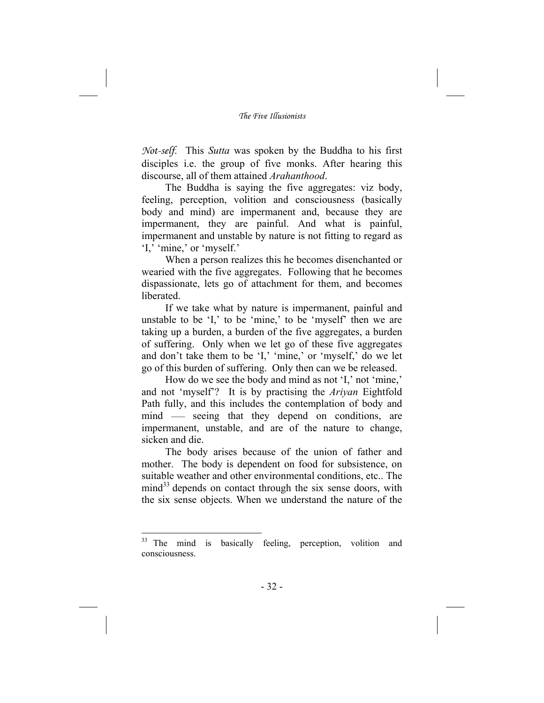*Not-self*. This *Sutta* was spoken by the Buddha to his first disciples i.e. the group of five monks. After hearing this discourse, all of them attained *Arahanthood*.

The Buddha is saying the five aggregates: viz body, feeling, perception, volition and consciousness (basically body and mind) are impermanent and, because they are impermanent, they are painful. And what is painful, impermanent and unstable by nature is not fitting to regard as 'I,' 'mine,' or 'myself.'

When a person realizes this he becomes disenchanted or wearied with the five aggregates. Following that he becomes dispassionate, lets go of attachment for them, and becomes liberated.

If we take what by nature is impermanent, painful and unstable to be 'I,' to be 'mine,' to be 'myself' then we are taking up a burden, a burden of the five aggregates, a burden of suffering. Only when we let go of these five aggregates and don't take them to be 'I,' 'mine,' or 'myself,' do we let go of this burden of suffering. Only then can we be released.

How do we see the body and mind as not 'I,' not 'mine,' and not 'myself'? It is by practising the *Ariyan* Eightfold Path fully, and this includes the contemplation of body and mind — seeing that they depend on conditions, are impermanent, unstable, and are of the nature to change, sicken and die.

The body arises because of the union of father and mother. The body is dependent on food for subsistence, on suitable weather and other environmental conditions, etc.. The  $mind<sup>33</sup>$  depends on contact through the six sense doors, with the six sense objects. When we understand the nature of the

 $33$  The mind is basically feeling, perception, volition and consciousness.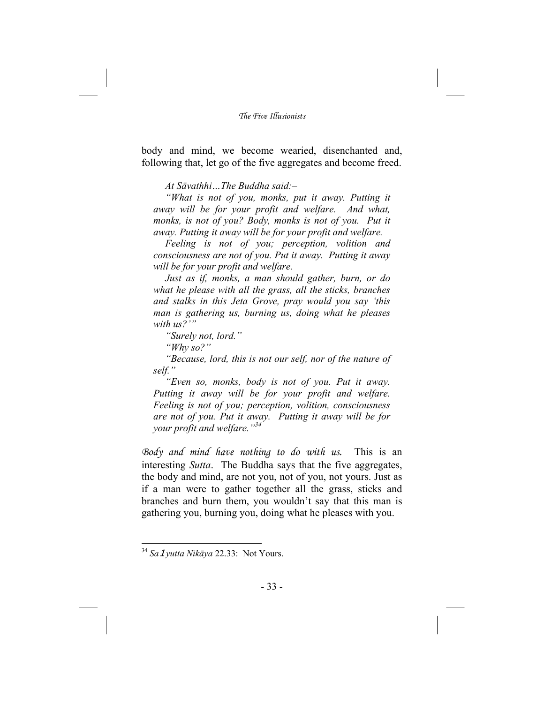body and mind, we become wearied, disenchanted and, following that, let go of the five aggregates and become freed.

*At Sāvathhi…The Buddha said:–* 

*"What is not of you, monks, put it away. Putting it away will be for your profit and welfare. And what,*  monks, is not of you? Body, monks is not of you. Put it *away. Putting it away will be for your profit and welfare.* 

*Feeling is not of you; perception, volition and consciousness are not of you. Put it away. Putting it away will be for your profit and welfare.* 

*Just as if, monks, a man should gather, burn, or do what he please with all the grass, all the sticks, branches and stalks in this Jeta Grove, pray would you say 'this man is gathering us, burning us, doing what he pleases with us?'"* 

*"Surely not, lord."* 

*"Why so?"* 

*"Because, lord, this is not our self, nor of the nature of self."* 

*"Even so, monks, body is not of you. Put it away. Putting it away will be for your profit and welfare. Feeling is not of you; perception, volition, consciousness are not of you. Put it away. Putting it away will be for your profit and welfare."<sup>34</sup>*

*Body and mind have nothing to do with us.* This is an interesting *Sutta*. The Buddha says that the five aggregates, the body and mind, are not you, not of you, not yours. Just as if a man were to gather together all the grass, sticks and branches and burn them, you wouldn't say that this man is gathering you, burning you, doing what he pleases with you.

<sup>34</sup> *Sa*1*yutta Nikāya* 22.33: Not Yours.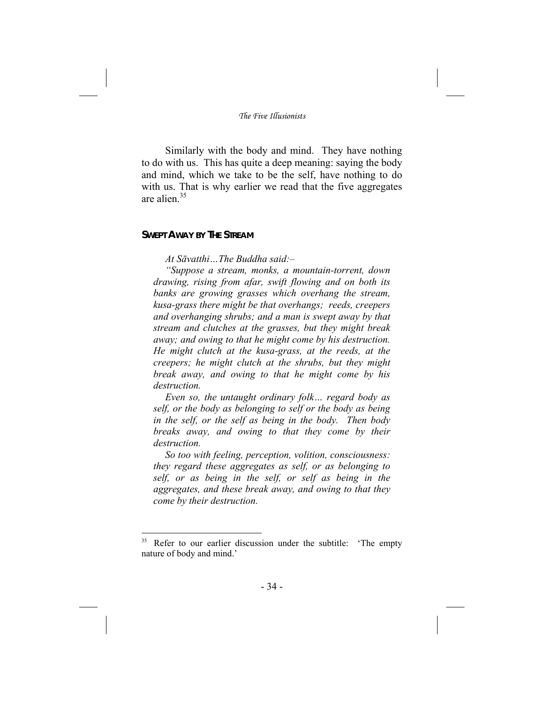Similarly with the body and mind. They have nothing to do with us. This has quite a deep meaning: saying the body and mind, which we take to be the self, have nothing to do with us. That is why earlier we read that the five aggregates are alien.<sup>35</sup>

## **SWEPT AWAY BY THE STREAM**

-

*At Sāvatthi…The Buddha said:–* 

*"Suppose a stream, monks, a mountain-torrent, down drawing, rising from afar, swift flowing and on both its banks are growing grasses which overhang the stream, kusa-grass there might be that overhangs; reeds, creepers and overhanging shrubs; and a man is swept away by that stream and clutches at the grasses, but they might break away; and owing to that he might come by his destruction. He might clutch at the kusa-grass, at the reeds, at the creepers; he might clutch at the shrubs, but they might break away, and owing to that he might come by his destruction.* 

*Even so, the untaught ordinary folk… regard body as self, or the body as belonging to self or the body as being in the self, or the self as being in the body. Then body breaks away, and owing to that they come by their destruction.* 

*So too with feeling, perception, volition, consciousness: they regard these aggregates as self, or as belonging to self, or as being in the self, or self as being in the aggregates, and these break away, and owing to that they come by their destruction.* 

Refer to our earlier discussion under the subtitle: 'The empty nature of body and mind.'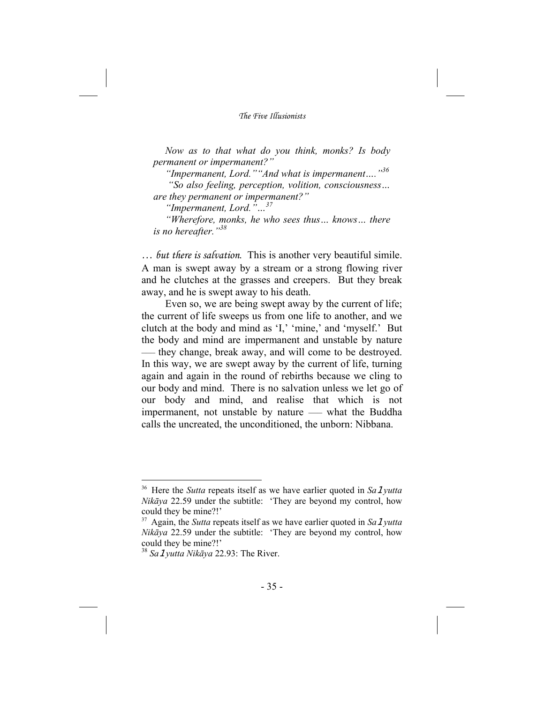*Now as to that what do you think, monks? Is body permanent or impermanent?"* 

*"Impermanent, Lord.""And what is impermanent…."<sup>36</sup>*

 *"So also feeling, perception, volition, consciousness… are they permanent or impermanent?"* 

*"Impermanent, Lord."…37* 

*"Wherefore, monks, he who sees thus… knows… there is no hereafter."<sup>38</sup>*

*… but there is salvation*. This is another very beautiful simile. A man is swept away by a stream or a strong flowing river and he clutches at the grasses and creepers. But they break away, and he is swept away to his death.

Even so, we are being swept away by the current of life; the current of life sweeps us from one life to another, and we clutch at the body and mind as 'I,' 'mine,' and 'myself.' But the body and mind are impermanent and unstable by nature — they change, break away, and will come to be destroyed. In this way, we are swept away by the current of life, turning again and again in the round of rebirths because we cling to our body and mind. There is no salvation unless we let go of our body and mind, and realise that which is not impermanent, not unstable by nature — what the Buddha calls the uncreated, the unconditioned, the unborn: Nibbana.

<sup>&</sup>lt;sup>36</sup> Here the *Sutta* repeats itself as we have earlier quoted in *Sa 1yutta Nikāya* 22.59 under the subtitle: 'They are beyond my control, how could they be mine?!'

<sup>&</sup>lt;sup>37</sup> Again, the *Sutta* repeats itself as we have earlier quoted in *Sa 1yutta Nikāya* 22.59 under the subtitle: 'They are beyond my control, how could they be mine?!'

<sup>38</sup> *Sa*1*yutta Nikāya* 22.93: The River.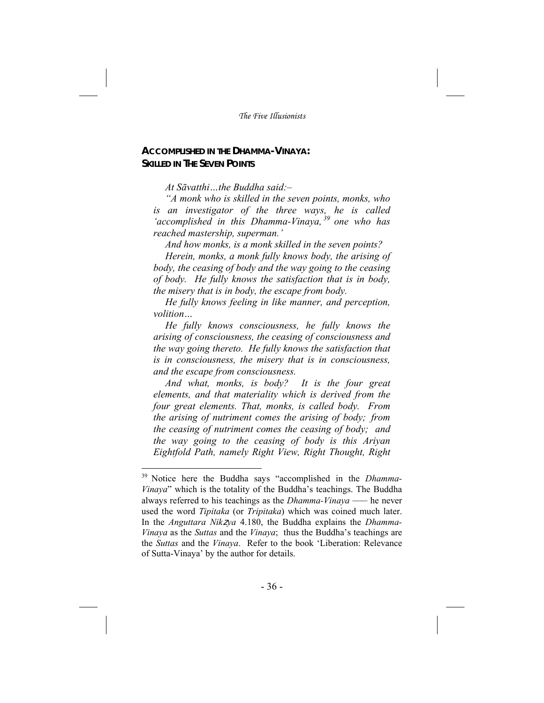## **ACCOMPLISHED IN THE DHAMMA-VINAYA: SKILLED IN THE SEVEN POINTS**

*At Sāvatthi…the Buddha said:–* 

*"A monk who is skilled in the seven points, monks, who is an investigator of the three ways, he is called 'accomplished in this Dhamma-Vinaya, 39 one who has reached mastership, superman.'* 

*And how monks, is a monk skilled in the seven points?* 

*Herein, monks, a monk fully knows body, the arising of body, the ceasing of body and the way going to the ceasing of body. He fully knows the satisfaction that is in body, the misery that is in body, the escape from body.* 

*He fully knows feeling in like manner, and perception, volition…* 

*He fully knows consciousness, he fully knows the arising of consciousness, the ceasing of consciousness and the way going thereto. He fully knows the satisfaction that is in consciousness, the misery that is in consciousness, and the escape from consciousness.* 

*And what, monks, is body? It is the four great elements, and that materiality which is derived from the four great elements. That, monks, is called body. From the arising of nutriment comes the arising of body; from the ceasing of nutriment comes the ceasing of body; and the way going to the ceasing of body is this Ariyan Eightfold Path, namely Right View, Right Thought, Right* 

Notice here the Buddha says "accomplished in the *Dhamma*-*Vinaya*" which is the totality of the Buddha's teachings. The Buddha always referred to his teachings as the *Dhamma-Vinaya –––* he never used the word *Tipitaka* (or *Tripitaka*) which was coined much later. In the *Anguttara Nik*z*ya* 4.180, the Buddha explains the *Dhamma-Vinaya* as the *Suttas* and the *Vinaya*; thus the Buddha's teachings are the *Suttas* and the *Vinaya*. Refer to the book 'Liberation: Relevance of Sutta-Vinaya' by the author for details.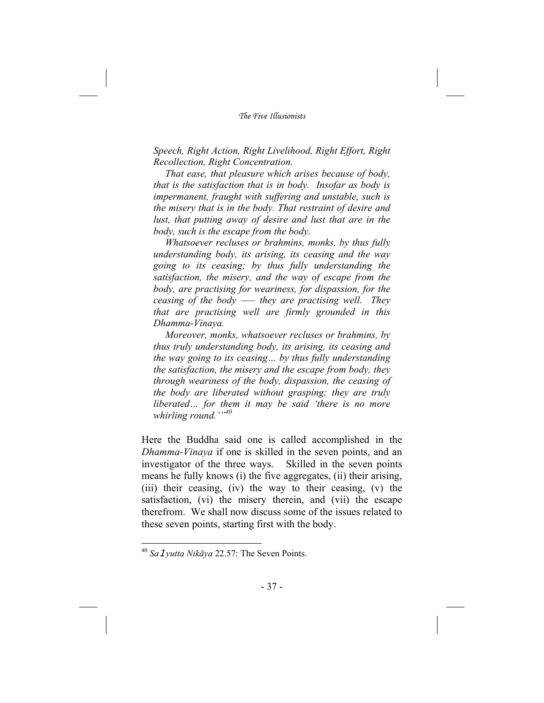*Speech, Right Action, Right Livelihood, Right Effort, Right Recollection, Right Concentration.* 

*That ease, that pleasure which arises because of body, that is the satisfaction that is in body. Insofar as body is impermanent, fraught with suffering and unstable, such is the misery that is in the body. That restraint of desire and lust, that putting away of desire and lust that are in the body, such is the escape from the body.* 

*Whatsoever recluses or brahmins, monks, by thus fully understanding body, its arising, its ceasing and the way going to its ceasing; by thus fully understanding the satisfaction, the misery, and the way of escape from the body, are practising for weariness, for dispassion, for the ceasing of the body ––– they are practising well. They that are practising well are firmly grounded in this Dhamma-Vinaya.* 

*Moreover, monks, whatsoever recluses or brahmins, by thus truly understanding body, its arising, its ceasing and the way going to its ceasing… by thus fully understanding the satisfaction, the misery and the escape from body, they through weariness of the body, dispassion, the ceasing of the body are liberated without grasping; they are truly liberated… for them it may be said 'there is no more whirling round.'"40*

Here the Buddha said one is called accomplished in the *Dhamma-Vinaya* if one is skilled in the seven points, and an investigator of the three ways. Skilled in the seven points means he fully knows (i) the five aggregates, (ii) their arising, (iii) their ceasing, (iv) the way to their ceasing, (v) the satisfaction, (vi) the misery therein, and (vii) the escape therefrom. We shall now discuss some of the issues related to these seven points, starting first with the body.

<sup>40</sup> *Sa*1*yutta Nikāya* 22.57: The Seven Points.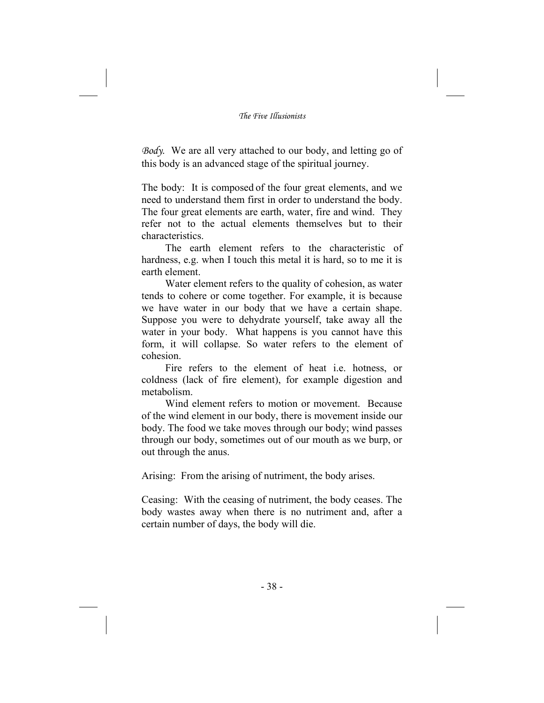*Body*. We are all very attached to our body, and letting go of this body is an advanced stage of the spiritual journey.

The body: It is composed of the four great elements, and we need to understand them first in order to understand the body. The four great elements are earth, water, fire and wind. They refer not to the actual elements themselves but to their characteristics.

The earth element refers to the characteristic of hardness, e.g. when I touch this metal it is hard, so to me it is earth element.

Water element refers to the quality of cohesion, as water tends to cohere or come together. For example, it is because we have water in our body that we have a certain shape. Suppose you were to dehydrate yourself, take away all the water in your body. What happens is you cannot have this form, it will collapse. So water refers to the element of cohesion.

Fire refers to the element of heat i.e. hotness, or coldness (lack of fire element), for example digestion and metabolism.

Wind element refers to motion or movement. Because of the wind element in our body, there is movement inside our body. The food we take moves through our body; wind passes through our body, sometimes out of our mouth as we burp, or out through the anus.

Arising: From the arising of nutriment, the body arises.

Ceasing: With the ceasing of nutriment, the body ceases. The body wastes away when there is no nutriment and, after a certain number of days, the body will die.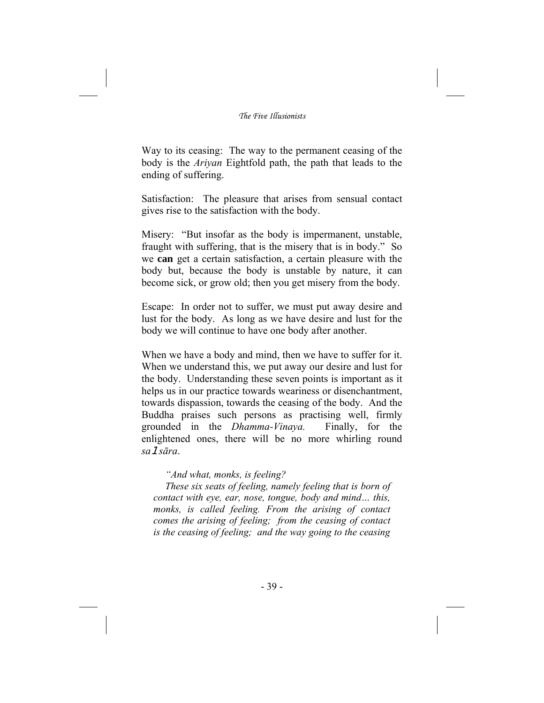Way to its ceasing: The way to the permanent ceasing of the body is the *Ariyan* Eightfold path, the path that leads to the ending of suffering.

Satisfaction: The pleasure that arises from sensual contact gives rise to the satisfaction with the body.

Misery: "But insofar as the body is impermanent, unstable, fraught with suffering, that is the misery that is in body." So we **can** get a certain satisfaction, a certain pleasure with the body but, because the body is unstable by nature, it can become sick, or grow old; then you get misery from the body.

Escape: In order not to suffer, we must put away desire and lust for the body. As long as we have desire and lust for the body we will continue to have one body after another.

When we have a body and mind, then we have to suffer for it. When we understand this, we put away our desire and lust for the body. Understanding these seven points is important as it helps us in our practice towards weariness or disenchantment, towards dispassion, towards the ceasing of the body. And the Buddha praises such persons as practising well, firmly grounded in the *Dhamma-Vinaya.* Finally, for the enlightened ones, there will be no more whirling round *sa*1*sāra*.

## *"And what, monks, is feeling?*

*These six seats of feeling, namely feeling that is born of contact with eye, ear, nose, tongue, body and mind… this, monks, is called feeling. From the arising of contact comes the arising of feeling; from the ceasing of contact is the ceasing of feeling; and the way going to the ceasing*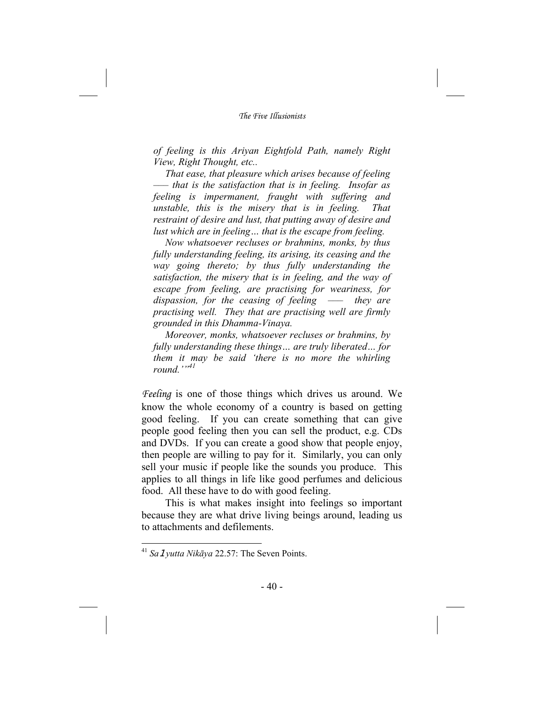*of feeling is this Ariyan Eightfold Path, namely Right View, Right Thought, etc..* 

*That ease, that pleasure which arises because of feeling ––– that is the satisfaction that is in feeling. Insofar as feeling is impermanent, fraught with suffering and unstable, this is the misery that is in feeling. That restraint of desire and lust, that putting away of desire and lust which are in feeling… that is the escape from feeling.* 

*Now whatsoever recluses or brahmins, monks, by thus fully understanding feeling, its arising, its ceasing and the way going thereto; by thus fully understanding the satisfaction, the misery that is in feeling, and the way of escape from feeling, are practising for weariness, for dispassion, for the ceasing of feeling ––– they are practising well. They that are practising well are firmly grounded in this Dhamma-Vinaya.* 

*Moreover, monks, whatsoever recluses or brahmins, by fully understanding these things… are truly liberated… for them it may be said 'there is no more the whirling round.'"41*

*Feeling* is one of those things which drives us around. We know the whole economy of a country is based on getting good feeling. If you can create something that can give people good feeling then you can sell the product, e.g. CDs and DVDs. If you can create a good show that people enjoy, then people are willing to pay for it. Similarly, you can only sell your music if people like the sounds you produce. This applies to all things in life like good perfumes and delicious food. All these have to do with good feeling.

This is what makes insight into feelings so important because they are what drive living beings around, leading us to attachments and defilements.

<sup>41</sup> *Sa*1*yutta Nikāya* 22.57: The Seven Points.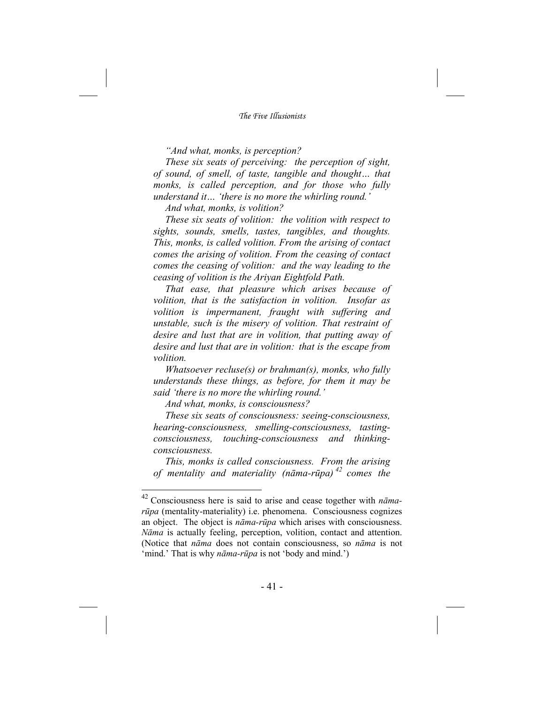*"And what, monks, is perception?* 

*These six seats of perceiving: the perception of sight, of sound, of smell, of taste, tangible and thought… that monks, is called perception, and for those who fully understand it… 'there is no more the whirling round.'* 

*And what, monks, is volition?* 

*These six seats of volition: the volition with respect to sights, sounds, smells, tastes, tangibles, and thoughts. This, monks, is called volition. From the arising of contact comes the arising of volition. From the ceasing of contact comes the ceasing of volition: and the way leading to the ceasing of volition is the Ariyan Eightfold Path.* 

*That ease, that pleasure which arises because of volition, that is the satisfaction in volition. Insofar as volition is impermanent, fraught with suffering and unstable, such is the misery of volition. That restraint of desire and lust that are in volition, that putting away of desire and lust that are in volition: that is the escape from volition.* 

*Whatsoever recluse(s) or brahman(s), monks, who fully understands these things, as before, for them it may be said 'there is no more the whirling round.'* 

*And what, monks, is consciousness?* 

-

*These six seats of consciousness: seeing-consciousness, hearing-consciousness, smelling-consciousness, tastingconsciousness, touching-consciousness and thinkingconsciousness.* 

*This, monks is called consciousness. From the arising of mentality and materiality (nāma-rūpa) 42 comes the* 

<sup>42</sup> Consciousness here is said to arise and cease together with *nāmarūpa* (mentality-materiality) i.e. phenomena. Consciousness cognizes an object. The object is *nāma-rūpa* which arises with consciousness. *Nāma* is actually feeling, perception, volition, contact and attention. (Notice that *nāma* does not contain consciousness, so *nāma* is not 'mind.' That is why *nāma-rūpa* is not 'body and mind.')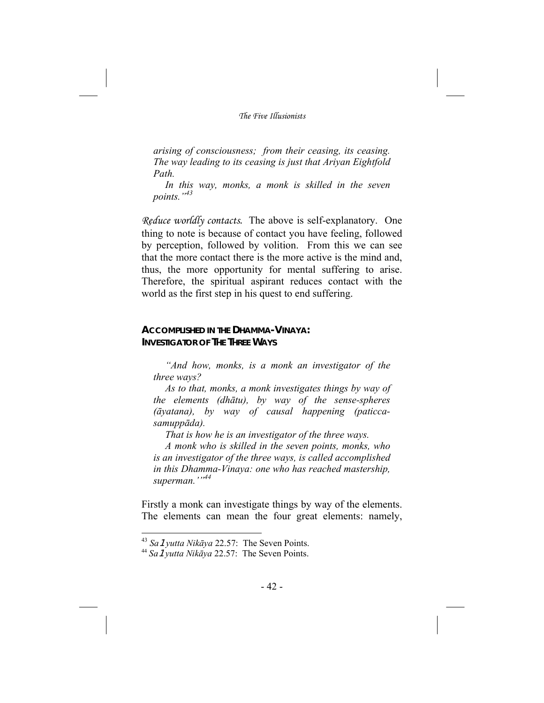*arising of consciousness; from their ceasing, its ceasing. The way leading to its ceasing is just that Ariyan Eightfold Path.* 

*In this way, monks, a monk is skilled in the seven points."<sup>43</sup>*

*Reduce worldly contacts.* The above is self-explanatory. One thing to note is because of contact you have feeling, followed by perception, followed by volition. From this we can see that the more contact there is the more active is the mind and, thus, the more opportunity for mental suffering to arise. Therefore, the spiritual aspirant reduces contact with the world as the first step in his quest to end suffering.

## **ACCOMPLISHED IN THE DHAMMA-VINAYA: INVESTIGATOR OF THE THREE WAYS**

*"And how, monks, is a monk an investigator of the three ways?* 

*As to that, monks, a monk investigates things by way of the elements (dhātu), by way of the sense-spheres (āyatana), by way of causal happening (paticcasamuppāda).* 

*That is how he is an investigator of the three ways.* 

*A monk who is skilled in the seven points, monks, who is an investigator of the three ways, is called accomplished in this Dhamma-Vinaya: one who has reached mastership, superman.'"44*

Firstly a monk can investigate things by way of the elements. The elements can mean the four great elements: namely,

<sup>43</sup> *Sa*1*yutta Nikāya* 22.57: The Seven Points.

<sup>44</sup> *Sa*1*yutta Nikāya* 22.57: The Seven Points.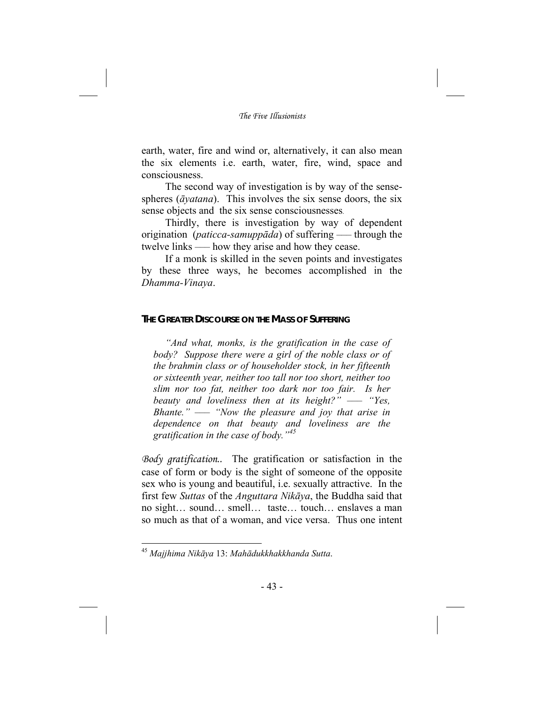earth, water, fire and wind or, alternatively, it can also mean the six elements i.e. earth, water, fire, wind, space and consciousness.

The second way of investigation is by way of the sensespheres (*āyatana*). This involves the six sense doors, the six sense objects and the six sense consciousnesses.

Thirdly, there is investigation by way of dependent origination (*paticca-samuppāda*) of suffering *–––* through the twelve links *–––* how they arise and how they cease.

If a monk is skilled in the seven points and investigates by these three ways, he becomes accomplished in the *Dhamma-Vinaya*.

#### **THE GREATER DISCOURSE ON THE MASS OF SUFFERING**

*"And what, monks, is the gratification in the case of body? Suppose there were a girl of the noble class or of the brahmin class or of householder stock, in her fifteenth or sixteenth year, neither too tall nor too short, neither too slim nor too fat, neither too dark nor too fair. Is her beauty and loveliness then at its height?" ––– "Yes, Bhante." ––– "Now the pleasure and joy that arise in dependence on that beauty and loveliness are the gratification in the case of body."<sup>45</sup>*

*Body gratification..* The gratification or satisfaction in the case of form or body is the sight of someone of the opposite sex who is young and beautiful, i.e. sexually attractive. In the first few *Suttas* of the *Anguttara Nikāya*, the Buddha said that no sight… sound… smell… taste… touch… enslaves a man so much as that of a woman, and vice versa. Thus one intent

<sup>45</sup> *Majjhima Nikāya* 13: *Mahādukkhakkhanda Sutta*.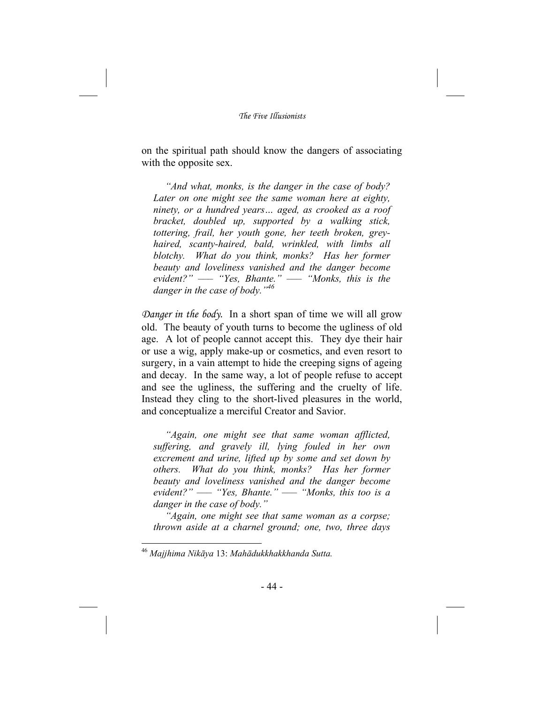on the spiritual path should know the dangers of associating with the opposite sex.

*"And what, monks, is the danger in the case of body? Later on one might see the same woman here at eighty, ninety, or a hundred years… aged, as crooked as a roof bracket, doubled up, supported by a walking stick, tottering, frail, her youth gone, her teeth broken, greyhaired, scanty-haired, bald, wrinkled, with limbs all blotchy. What do you think, monks? Has her former beauty and loveliness vanished and the danger become evident?" ––– "Yes, Bhante." ––– "Monks, this is the danger in the case of body."46*

*Danger in the body.* In a short span of time we will all grow old. The beauty of youth turns to become the ugliness of old age. A lot of people cannot accept this. They dye their hair or use a wig, apply make-up or cosmetics, and even resort to surgery, in a vain attempt to hide the creeping signs of ageing and decay. In the same way, a lot of people refuse to accept and see the ugliness, the suffering and the cruelty of life. Instead they cling to the short-lived pleasures in the world, and conceptualize a merciful Creator and Savior.

*"Again, one might see that same woman afflicted, suffering, and gravely ill, lying fouled in her own excrement and urine, lifted up by some and set down by others. What do you think, monks? Has her former beauty and loveliness vanished and the danger become evident?" ––– "Yes, Bhante." ––– "Monks, this too is a danger in the case of body."* 

*"Again, one might see that same woman as a corpse; thrown aside at a charnel ground; one, two, three days* 

<sup>46</sup> *Majjhima Nikāya* 13: *Mahādukkhakkhanda Sutta.*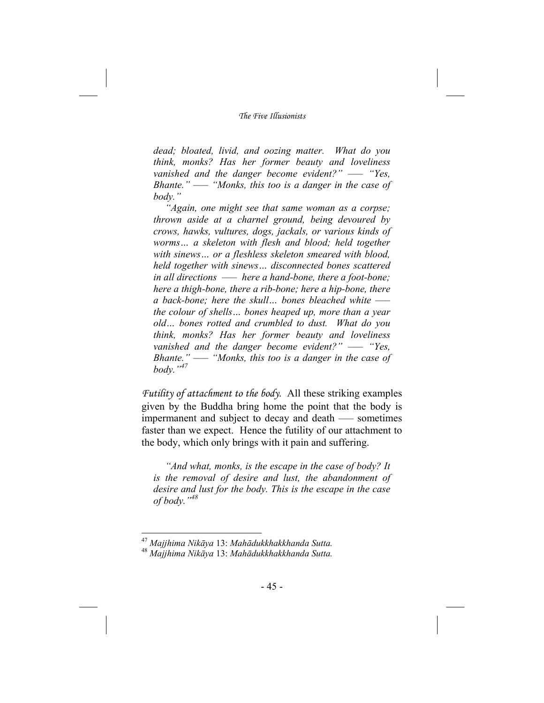*dead; bloated, livid, and oozing matter. What do you think, monks? Has her former beauty and loveliness vanished and the danger become evident?" ––– "Yes, Bhante." ––– "Monks, this too is a danger in the case of body."* 

*"Again, one might see that same woman as a corpse; thrown aside at a charnel ground, being devoured by crows, hawks, vultures, dogs, jackals, or various kinds of worms… a skeleton with flesh and blood; held together with sinews… or a fleshless skeleton smeared with blood, held together with sinews… disconnected bones scattered in all directions ––– here a hand-bone, there a foot-bone; here a thigh-bone, there a rib-bone; here a hip-bone, there a back-bone; here the skull… bones bleached white ––– the colour of shells… bones heaped up, more than a year old… bones rotted and crumbled to dust. What do you think, monks? Has her former beauty and loveliness vanished and the danger become evident?" ––– "Yes, Bhante." ––– "Monks, this too is a danger in the case of body."<sup>47</sup>*

*Futility of attachment to the body*. All these striking examples given by the Buddha bring home the point that the body is impermanent and subject to decay and death —– sometimes faster than we expect. Hence the futility of our attachment to the body, which only brings with it pain and suffering.

*"And what, monks, is the escape in the case of body? It is the removal of desire and lust, the abandonment of desire and lust for the body. This is the escape in the case of body."<sup>48</sup>*

<sup>47</sup> *Majjhima Nikāya* 13: *Mahādukkhakkhanda Sutta.*

<sup>48</sup> *Majjhima Nikāya* 13: *Mahādukkhakkhanda Sutta.*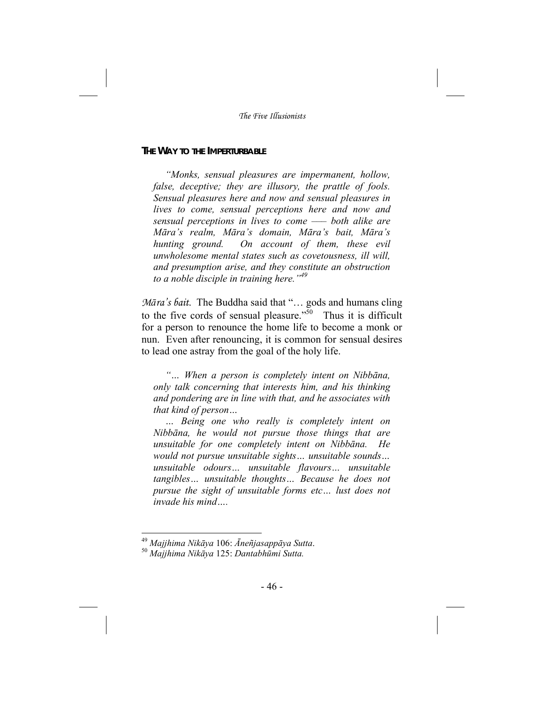#### **THE WAY TO THE IMPERTURBABLE**

*"Monks, sensual pleasures are impermanent, hollow, false, deceptive; they are illusory, the prattle of fools. Sensual pleasures here and now and sensual pleasures in lives to come, sensual perceptions here and now and sensual perceptions in lives to come ––– both alike are Māra's realm, Māra's domain, Māra's bait, Māra's hunting ground. On account of them, these evil unwholesome mental states such as covetousness, ill will, and presumption arise, and they constitute an obstruction to a noble disciple in training here."<sup>49</sup>*

*Māra's bait*. The Buddha said that "… gods and humans cling to the five cords of sensual pleasure." $50$  Thus it is difficult for a person to renounce the home life to become a monk or nun. Even after renouncing, it is common for sensual desires to lead one astray from the goal of the holy life.

*"… When a person is completely intent on Nibbāna, only talk concerning that interests him, and his thinking and pondering are in line with that, and he associates with that kind of person…* 

*… Being one who really is completely intent on Nibbāna, he would not pursue those things that are unsuitable for one completely intent on Nibbāna. He would not pursue unsuitable sights… unsuitable sounds… unsuitable odours… unsuitable flavours… unsuitable tangibles… unsuitable thoughts… Because he does not pursue the sight of unsuitable forms etc… lust does not invade his mind….* 

<sup>49</sup> *Majjhima Nikāya* 106: *Āneñjasappāya Sutta*. <sup>50</sup> *Majjhima Nikāya* 125: *Dantabhūmi Sutta.*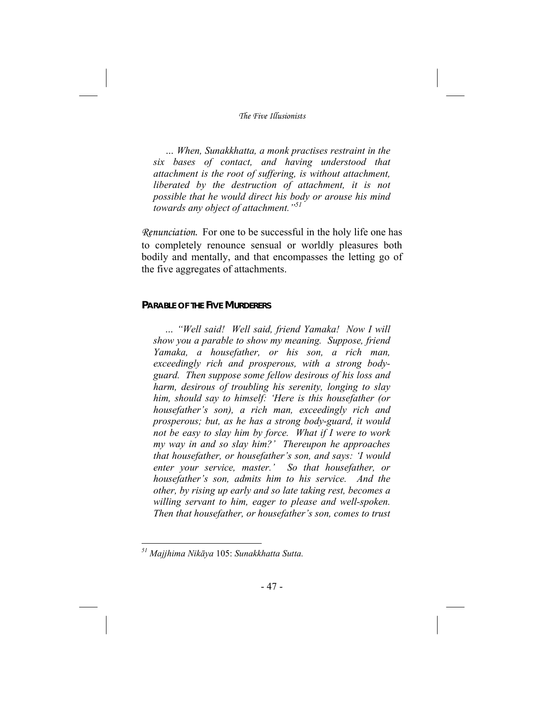*… When, Sunakkhatta, a monk practises restraint in the six bases of contact, and having understood that attachment is the root of suffering, is without attachment, liberated by the destruction of attachment, it is not possible that he would direct his body or arouse his mind towards any object of attachment."<sup>51</sup>*

*Renunciation.* For one to be successful in the holy life one has to completely renounce sensual or worldly pleasures both bodily and mentally, and that encompasses the letting go of the five aggregates of attachments.

#### **PARABLE OF THE FIVE MURDERERS**

*… "Well said! Well said, friend Yamaka! Now I will show you a parable to show my meaning. Suppose, friend Yamaka, a housefather, or his son, a rich man, exceedingly rich and prosperous, with a strong bodyguard. Then suppose some fellow desirous of his loss and harm, desirous of troubling his serenity, longing to slay him, should say to himself: 'Here is this housefather (or housefather's son), a rich man, exceedingly rich and prosperous; but, as he has a strong body-guard, it would not be easy to slay him by force. What if I were to work my way in and so slay him?' Thereupon he approaches that housefather, or housefather's son, and says: 'I would enter your service, master.' So that housefather, or housefather's son, admits him to his service. And the other, by rising up early and so late taking rest, becomes a willing servant to him, eager to please and well-spoken. Then that housefather, or housefather's son, comes to trust* 

*<sup>51</sup> Majjhima Nikāya* 105: *Sunakkhatta Sutta.*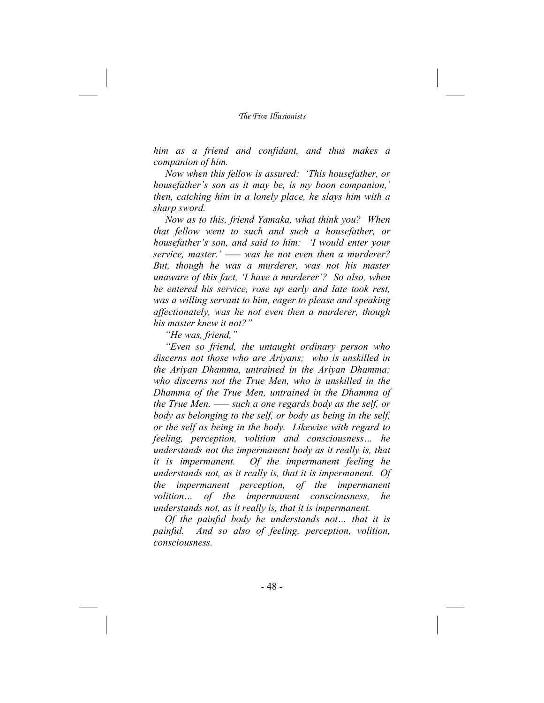*him as a friend and confidant, and thus makes a companion of him.* 

 *Now when this fellow is assured: 'This housefather, or housefather's son as it may be, is my boon companion,' then, catching him in a lonely place, he slays him with a sharp sword.* 

 *Now as to this, friend Yamaka, what think you? When that fellow went to such and such a housefather, or housefather's son, and said to him: 'I would enter your service, master.' ––– was he not even then a murderer? But, though he was a murderer, was not his master unaware of this fact, 'I have a murderer'? So also, when he entered his service, rose up early and late took rest, was a willing servant to him, eager to please and speaking affectionately, was he not even then a murderer, though his master knew it not?"* 

*"He was, friend,"* 

*"Even so friend, the untaught ordinary person who discerns not those who are Ariyans; who is unskilled in the Ariyan Dhamma, untrained in the Ariyan Dhamma; who discerns not the True Men, who is unskilled in the Dhamma of the True Men, untrained in the Dhamma of the True Men, ––– such a one regards body as the self, or body as belonging to the self, or body as being in the self, or the self as being in the body. Likewise with regard to feeling, perception, volition and consciousness… he understands not the impermanent body as it really is, that it is impermanent. Of the impermanent feeling he understands not, as it really is, that it is impermanent. Of the impermanent perception, of the impermanent volition... of the impermanent consciousness, understands not, as it really is, that it is impermanent.* 

*Of the painful body he understands not… that it is painful. And so also of feeling, perception, volition, consciousness.*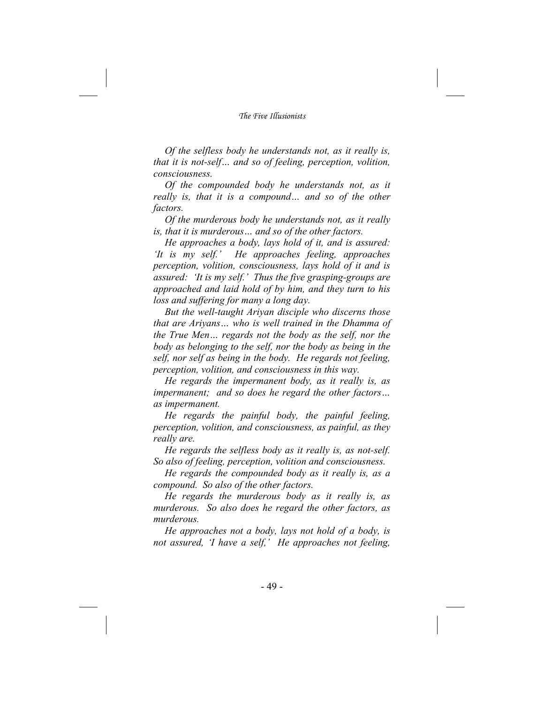*Of the selfless body he understands not, as it really is, that it is not-self… and so of feeling, perception, volition, consciousness.* 

*Of the compounded body he understands not, as it really is, that it is a compound… and so of the other factors.* 

*Of the murderous body he understands not, as it really is, that it is murderous… and so of the other factors.* 

*He approaches a body, lays hold of it, and is assured: 'It is my self.' He approaches feeling, approaches perception, volition, consciousness, lays hold of it and is assured: 'It is my self.' Thus the five grasping-groups are approached and laid hold of by him, and they turn to his loss and suffering for many a long day.* 

*But the well-taught Ariyan disciple who discerns those that are Ariyans… who is well trained in the Dhamma of the True Men… regards not the body as the self, nor the body as belonging to the self, nor the body as being in the self, nor self as being in the body. He regards not feeling, perception, volition, and consciousness in this way.* 

*He regards the impermanent body, as it really is, as impermanent; and so does he regard the other factors… as impermanent.* 

*He regards the painful body, the painful feeling, perception, volition, and consciousness, as painful, as they really are.* 

*He regards the selfless body as it really is, as not-self. So also of feeling, perception, volition and consciousness.* 

*He regards the compounded body as it really is, as a compound. So also of the other factors.* 

*He regards the murderous body as it really is, as murderous. So also does he regard the other factors, as murderous.* 

*He approaches not a body, lays not hold of a body, is not assured, 'I have a self,' He approaches not feeling,*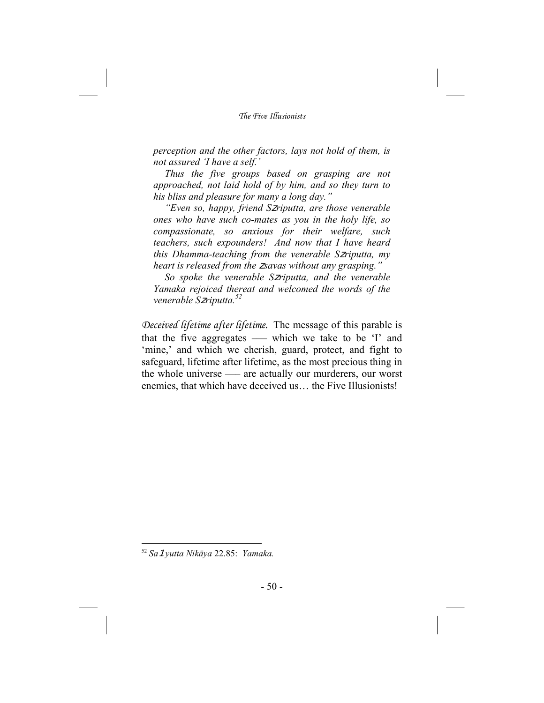*perception and the other factors, lays not hold of them, is not assured 'I have a self.'* 

*Thus the five groups based on grasping are not approached, not laid hold of by him, and so they turn to his bliss and pleasure for many a long day."* 

*"Even so, happy, friend S*z*riputta, are those venerable ones who have such co-mates as you in the holy life, so compassionate, so anxious for their welfare, such teachers, such expounders! And now that I have heard this Dhamma-teaching from the venerable S*z*riputta, my heart is released from the* z*savas without any grasping."* 

*So spoke the venerable S*z*riputta, and the venerable Yamaka rejoiced thereat and welcomed the words of the venerable S*z*riputta.<sup>52</sup>*

*Deceived lifetime after lifetime.* The message of this parable is that the five aggregates *–––* which we take to be 'I' and 'mine,' and which we cherish, guard, protect, and fight to safeguard, lifetime after lifetime, as the most precious thing in the whole universe *–––* are actually our murderers, our worst enemies, that which have deceived us… the Five Illusionists!

<sup>52</sup> *Sa*1*yutta Nikāya* 22.85: *Yamaka.*